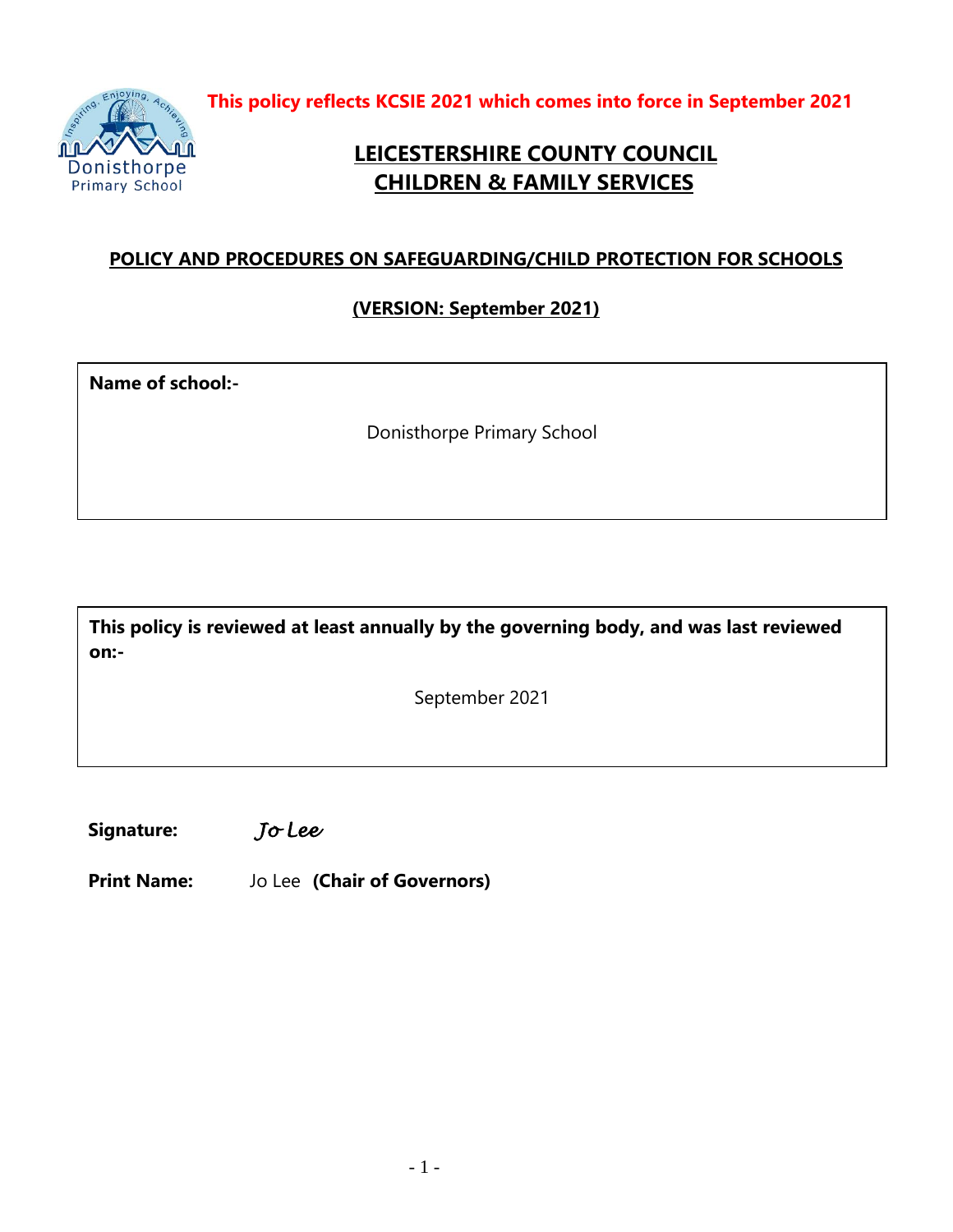

**This policy reflects KCSIE 2021 which comes into force in September 2021**

# **LEICESTERSHIRE COUNTY COUNCIL CHILDREN & FAMILY SERVICES**

# **POLICY AND PROCEDURES ON SAFEGUARDING/CHILD PROTECTION FOR SCHOOLS**

**(VERSION: September 2021)**

**Name of school:-**

Donisthorpe Primary School

**This policy is reviewed at least annually by the governing body, and was last reviewed on:-**

September 2021

**Signature:** *Jo Lee* 

**Print Name:** Jo Lee **(Chair of Governors)**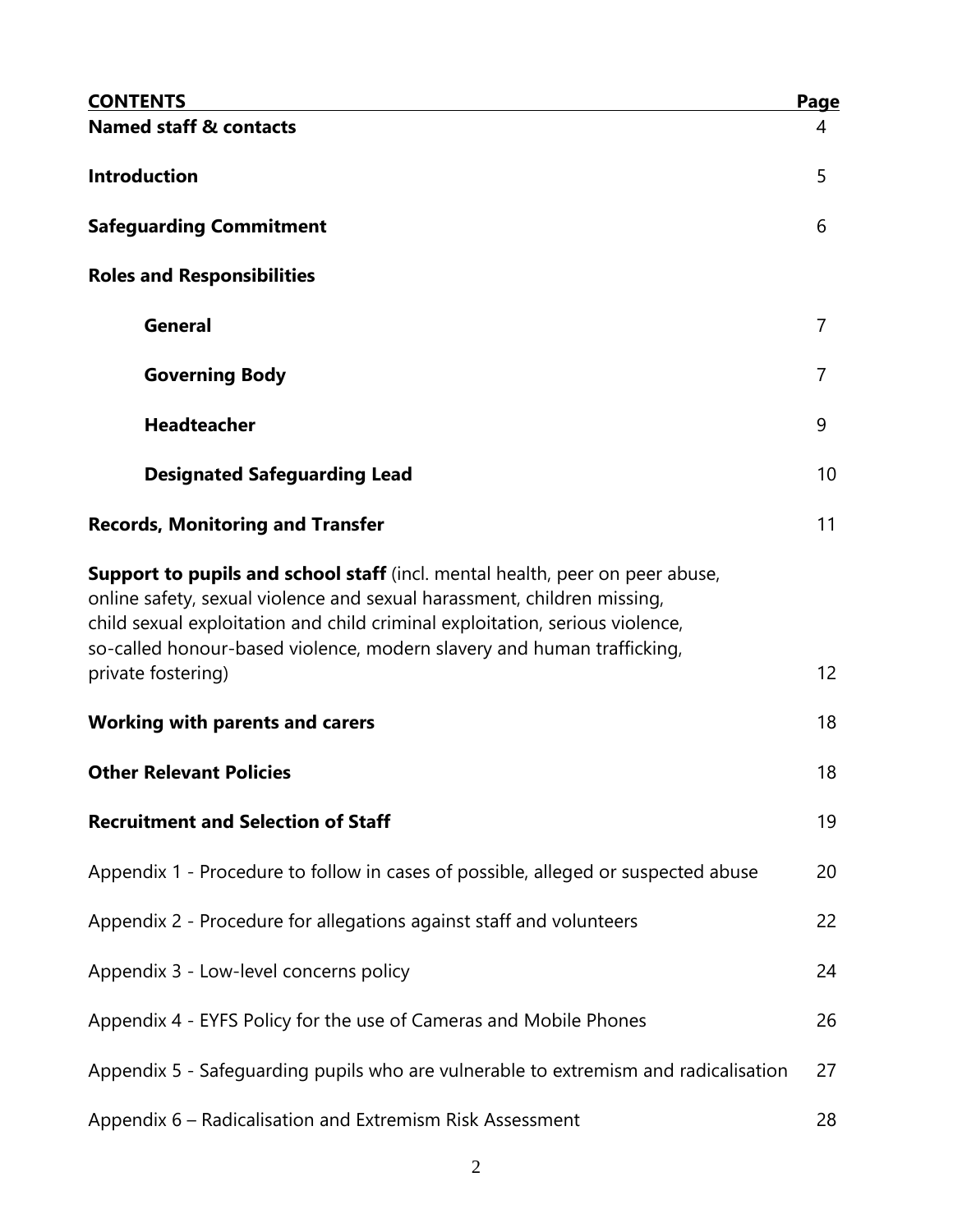| <b>CONTENTS</b>                                                                                                                                                                                                                                                                                                   | <u>Page</u> |
|-------------------------------------------------------------------------------------------------------------------------------------------------------------------------------------------------------------------------------------------------------------------------------------------------------------------|-------------|
| <b>Named staff &amp; contacts</b>                                                                                                                                                                                                                                                                                 | 4           |
| <b>Introduction</b>                                                                                                                                                                                                                                                                                               | 5           |
| <b>Safeguarding Commitment</b>                                                                                                                                                                                                                                                                                    | 6           |
| <b>Roles and Responsibilities</b>                                                                                                                                                                                                                                                                                 |             |
| <b>General</b>                                                                                                                                                                                                                                                                                                    | 7           |
| <b>Governing Body</b>                                                                                                                                                                                                                                                                                             | 7           |
| <b>Headteacher</b>                                                                                                                                                                                                                                                                                                | 9           |
| <b>Designated Safeguarding Lead</b>                                                                                                                                                                                                                                                                               | 10          |
| <b>Records, Monitoring and Transfer</b>                                                                                                                                                                                                                                                                           | 11          |
| Support to pupils and school staff (incl. mental health, peer on peer abuse,<br>online safety, sexual violence and sexual harassment, children missing,<br>child sexual exploitation and child criminal exploitation, serious violence,<br>so-called honour-based violence, modern slavery and human trafficking, | 12          |
| private fostering)                                                                                                                                                                                                                                                                                                |             |
| <b>Working with parents and carers</b>                                                                                                                                                                                                                                                                            | 18          |
| <b>Other Relevant Policies</b>                                                                                                                                                                                                                                                                                    | 18          |
| <b>Recruitment and Selection of Staff</b>                                                                                                                                                                                                                                                                         | 19          |
| Appendix 1 - Procedure to follow in cases of possible, alleged or suspected abuse                                                                                                                                                                                                                                 | 20          |
| Appendix 2 - Procedure for allegations against staff and volunteers                                                                                                                                                                                                                                               | 22          |
| Appendix 3 - Low-level concerns policy                                                                                                                                                                                                                                                                            | 24          |
| Appendix 4 - EYFS Policy for the use of Cameras and Mobile Phones                                                                                                                                                                                                                                                 | 26          |
| Appendix 5 - Safeguarding pupils who are vulnerable to extremism and radicalisation                                                                                                                                                                                                                               | 27          |
| Appendix 6 – Radicalisation and Extremism Risk Assessment                                                                                                                                                                                                                                                         | 28          |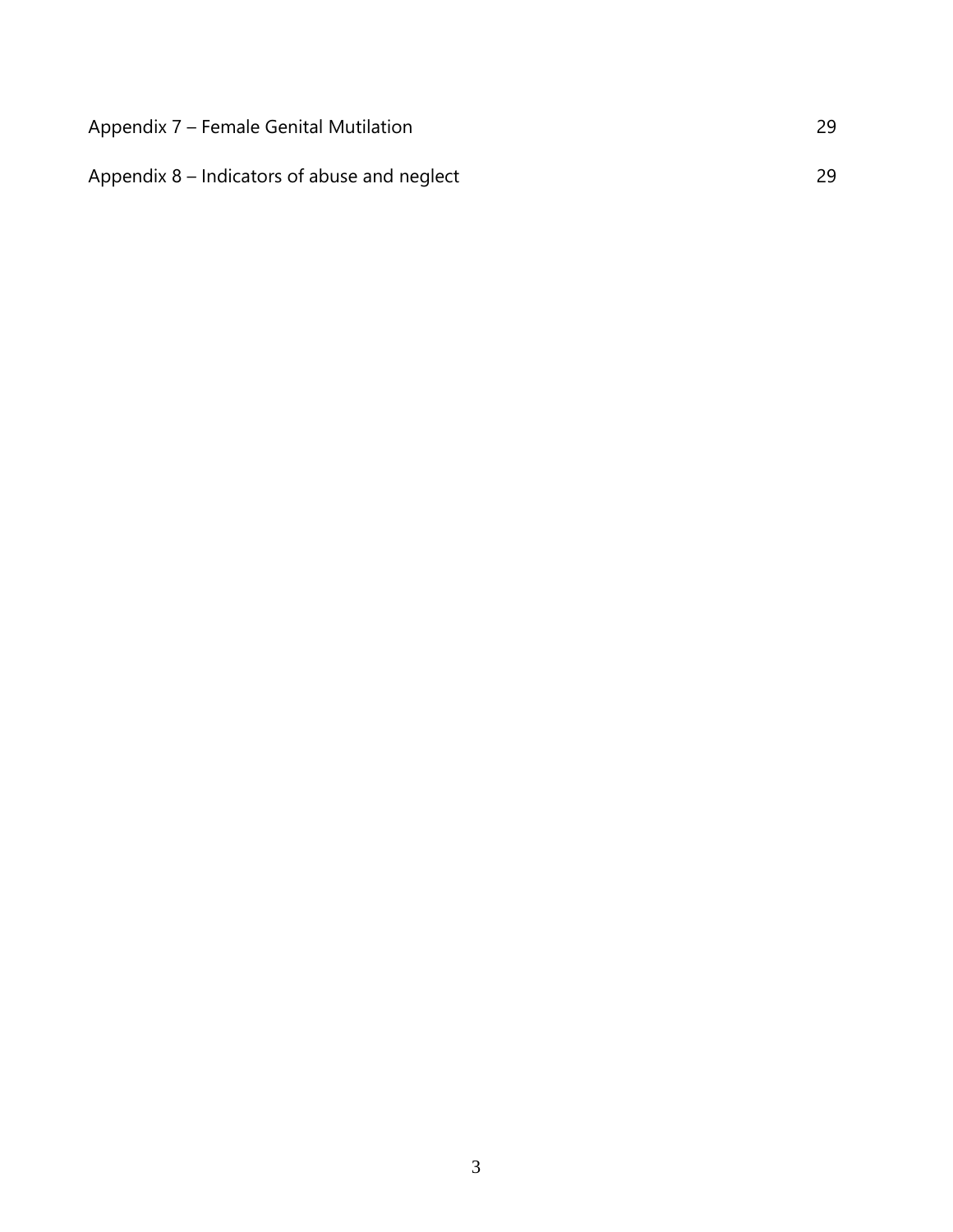| Appendix 7 – Female Genital Mutilation       | 29 |
|----------------------------------------------|----|
| Appendix 8 – Indicators of abuse and neglect | 29 |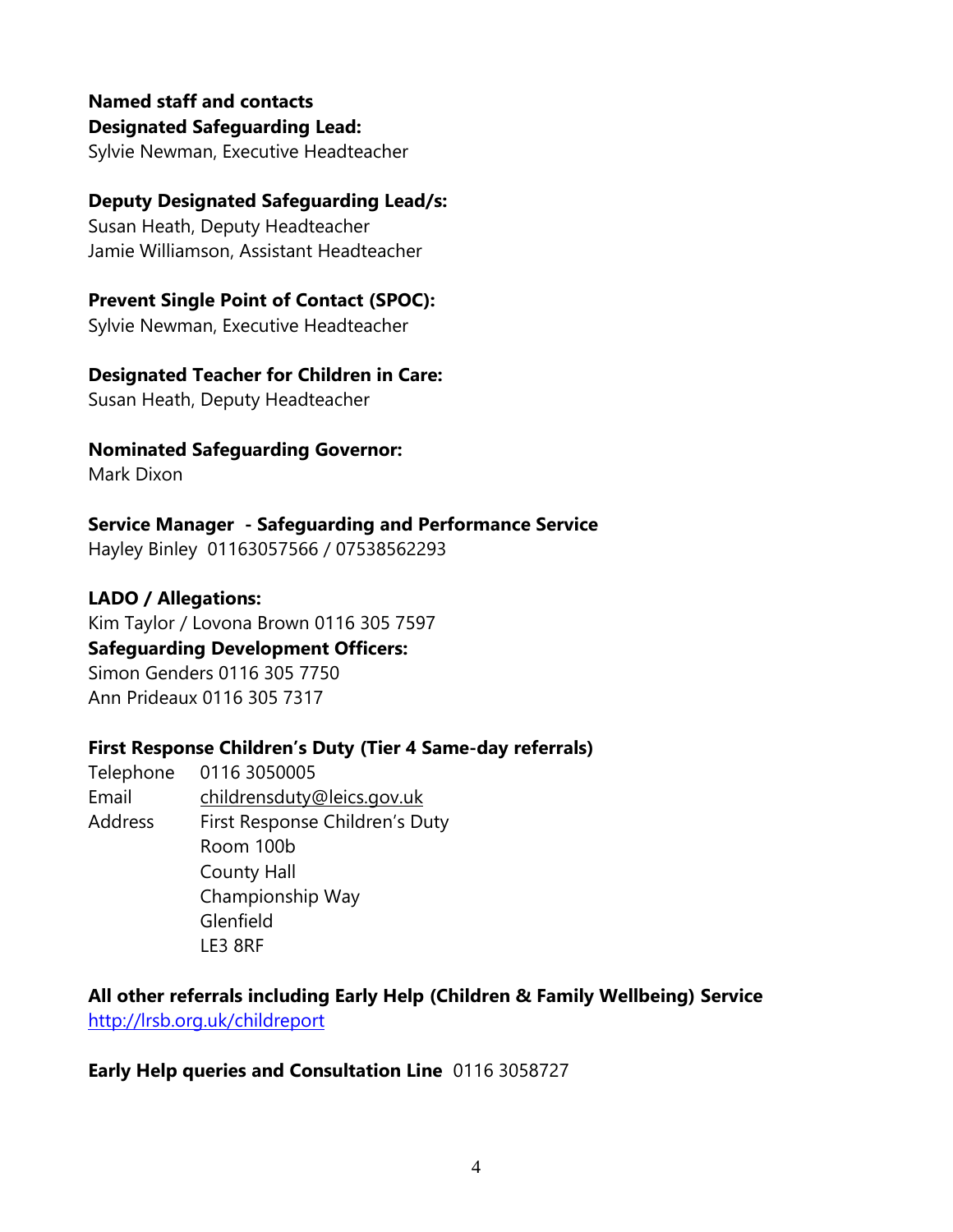#### **Named staff and contacts Designated Safeguarding Lead:**

Sylvie Newman, Executive Headteacher

#### **Deputy Designated Safeguarding Lead/s:**

Susan Heath, Deputy Headteacher Jamie Williamson, Assistant Headteacher

### **Prevent Single Point of Contact (SPOC):**

Sylvie Newman, Executive Headteacher

### **Designated Teacher for Children in Care:**

Susan Heath, Deputy Headteacher

#### **Nominated Safeguarding Governor:**

Mark Dixon

### **Service Manager - Safeguarding and Performance Service**

Hayley Binley 01163057566 / 07538562293

### **LADO / Allegations:**

Kim Taylor / Lovona Brown 0116 305 7597 **Safeguarding Development Officers:** Simon Genders 0116 305 7750 Ann Prideaux 0116 305 7317

# **First Response Children's Duty (Tier 4 Same-day referrals)**

Telephone 0116 3050005 Email [childrensduty@leics.gov.uk](mailto:childrensduty@leics.gov.uk) Address First Response Children's Duty Room 100b County Hall Championship Way Glenfield LE3 8RF

# **All other referrals including Early Help (Children & Family Wellbeing) Service** <http://lrsb.org.uk/childreport>

# **Early Help queries and Consultation Line** 0116 3058727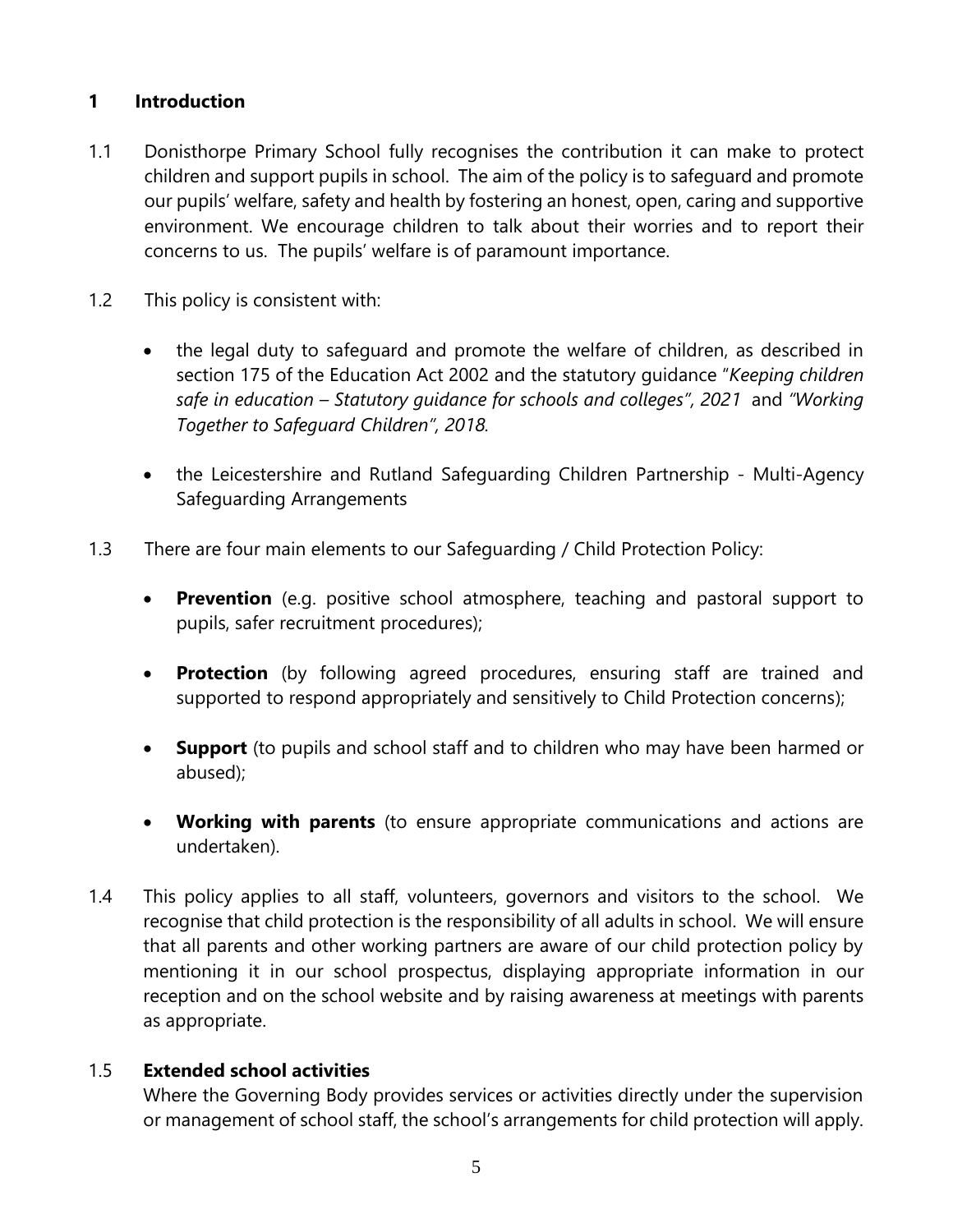### **1 Introduction**

- 1.1 Donisthorpe Primary School fully recognises the contribution it can make to protect children and support pupils in school. The aim of the policy is to safeguard and promote our pupils' welfare, safety and health by fostering an honest, open, caring and supportive environment. We encourage children to talk about their worries and to report their concerns to us. The pupils' welfare is of paramount importance.
- 1.2 This policy is consistent with:
	- the legal duty to safeguard and promote the welfare of children, as described in section 175 of the Education Act 2002 and the statutory guidance "*Keeping children safe in education – Statutory guidance for schools and colleges", 2021* and *"Working Together to Safeguard Children", 2018.*
	- the Leicestershire and Rutland Safeguarding Children Partnership Multi-Agency Safeguarding Arrangements
- 1.3 There are four main elements to our Safeguarding / Child Protection Policy:
	- **Prevention** (e.g. positive school atmosphere, teaching and pastoral support to pupils, safer recruitment procedures);
	- **Protection** (by following agreed procedures, ensuring staff are trained and supported to respond appropriately and sensitively to Child Protection concerns);
	- **Support** (to pupils and school staff and to children who may have been harmed or abused);
	- **Working with parents** (to ensure appropriate communications and actions are undertaken).
- 1.4 This policy applies to all staff, volunteers, governors and visitors to the school. We recognise that child protection is the responsibility of all adults in school. We will ensure that all parents and other working partners are aware of our child protection policy by mentioning it in our school prospectus, displaying appropriate information in our reception and on the school website and by raising awareness at meetings with parents as appropriate.

#### 1.5 **Extended school activities**

Where the Governing Body provides services or activities directly under the supervision or management of school staff, the school's arrangements for child protection will apply.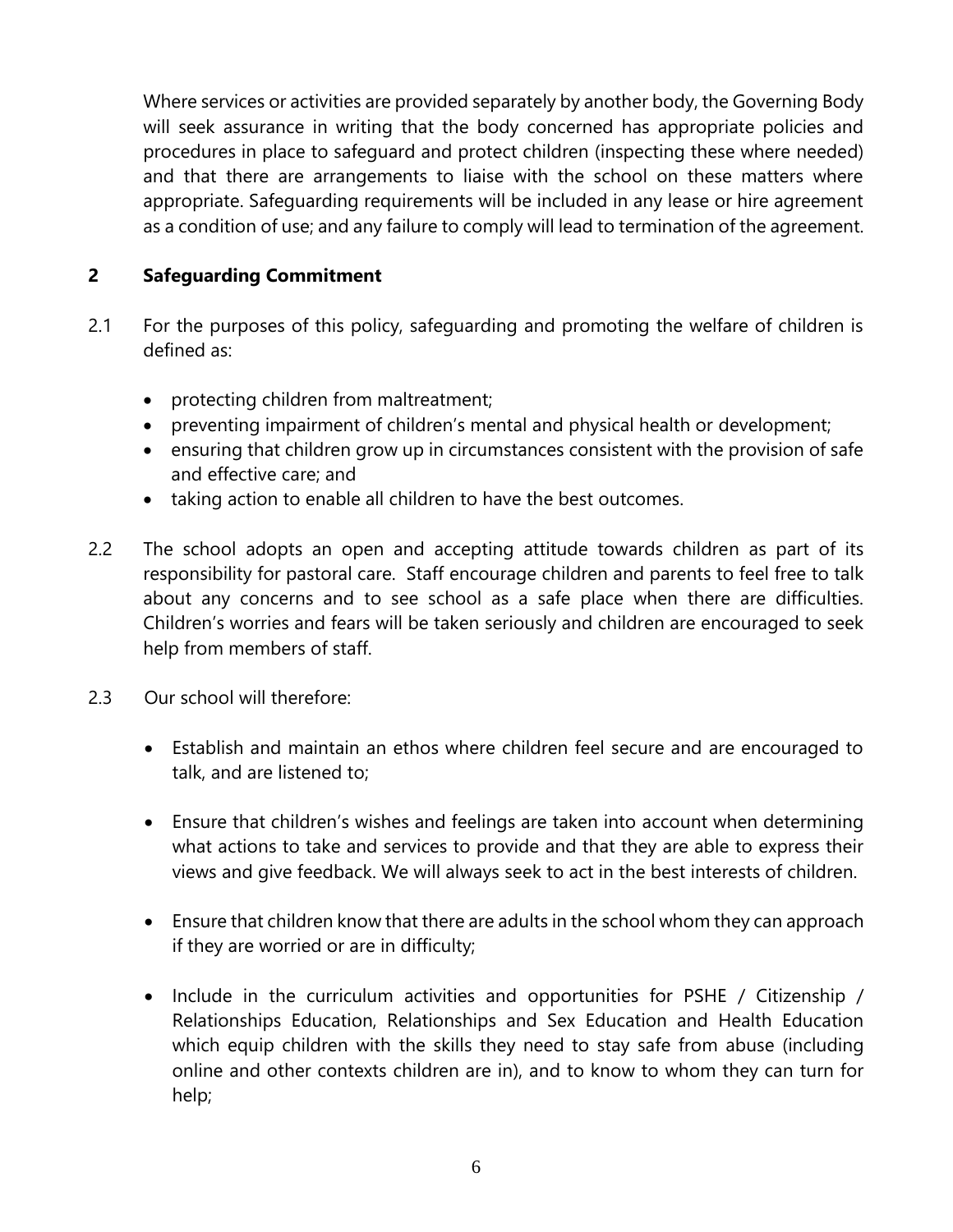Where services or activities are provided separately by another body, the Governing Body will seek assurance in writing that the body concerned has appropriate policies and procedures in place to safeguard and protect children (inspecting these where needed) and that there are arrangements to liaise with the school on these matters where appropriate. Safeguarding requirements will be included in any lease or hire agreement as a condition of use; and any failure to comply will lead to termination of the agreement.

#### **2 Safeguarding Commitment**

- 2.1 For the purposes of this policy, safeguarding and promoting the welfare of children is defined as:
	- protecting children from maltreatment;
	- preventing impairment of children's mental and physical health or development;
	- ensuring that children grow up in circumstances consistent with the provision of safe and effective care; and
	- taking action to enable all children to have the best outcomes.
- 2.2 The school adopts an open and accepting attitude towards children as part of its responsibility for pastoral care. Staff encourage children and parents to feel free to talk about any concerns and to see school as a safe place when there are difficulties. Children's worries and fears will be taken seriously and children are encouraged to seek help from members of staff.
- 2.3 Our school will therefore:
	- Establish and maintain an ethos where children feel secure and are encouraged to talk, and are listened to;
	- Ensure that children's wishes and feelings are taken into account when determining what actions to take and services to provide and that they are able to express their views and give feedback. We will always seek to act in the best interests of children.
	- Ensure that children know that there are adults in the school whom they can approach if they are worried or are in difficulty;
	- Include in the curriculum activities and opportunities for PSHE / Citizenship / Relationships Education, Relationships and Sex Education and Health Education which equip children with the skills they need to stay safe from abuse (including online and other contexts children are in), and to know to whom they can turn for help;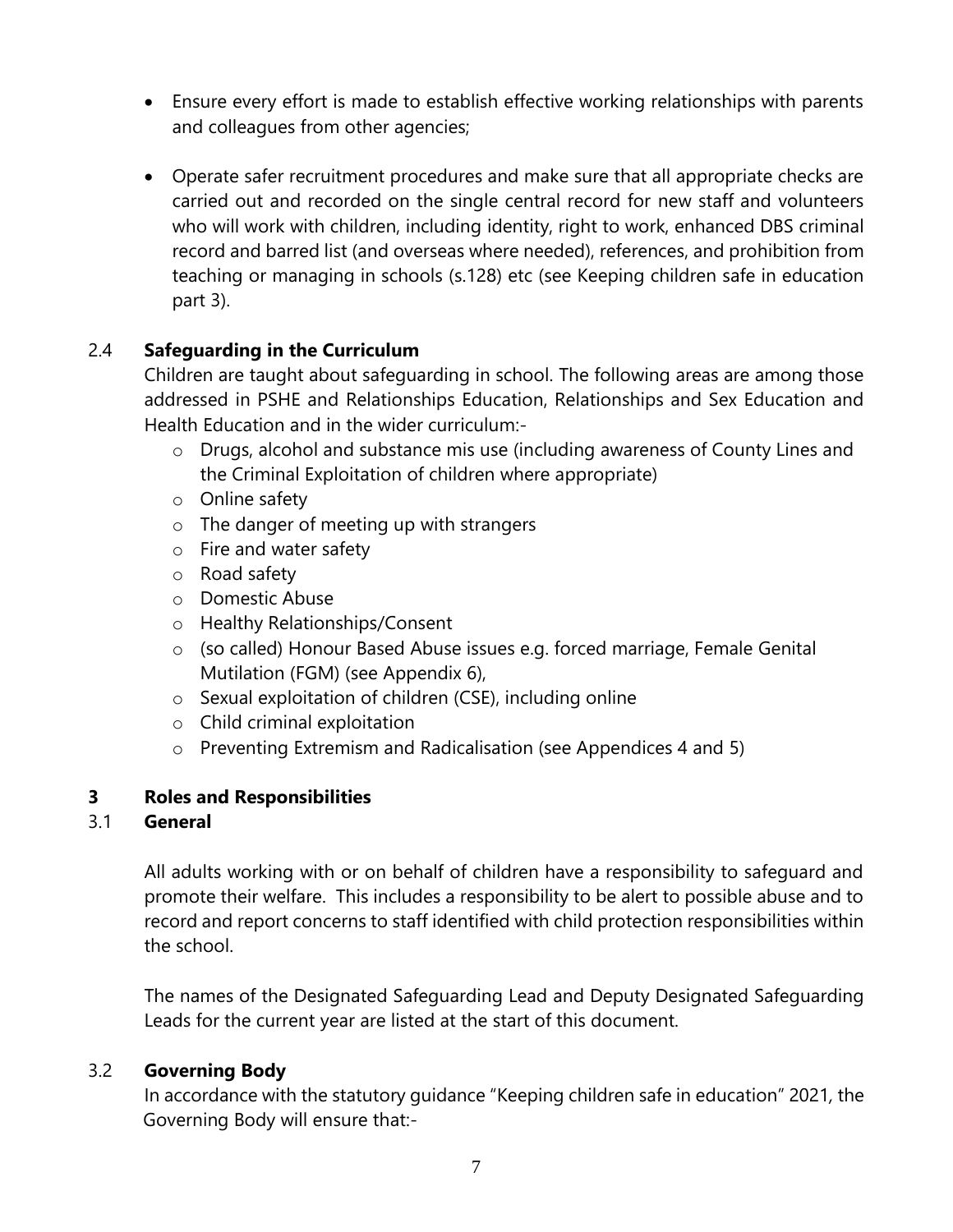- Ensure every effort is made to establish effective working relationships with parents and colleagues from other agencies;
- Operate safer recruitment procedures and make sure that all appropriate checks are carried out and recorded on the single central record for new staff and volunteers who will work with children, including identity, right to work, enhanced DBS criminal record and barred list (and overseas where needed), references, and prohibition from teaching or managing in schools (s.128) etc (see Keeping children safe in education part 3).

# 2.4 **Safeguarding in the Curriculum**

Children are taught about safeguarding in school. The following areas are among those addressed in PSHE and Relationships Education, Relationships and Sex Education and Health Education and in the wider curriculum:-

- o Drugs, alcohol and substance mis use (including awareness of County Lines and the Criminal Exploitation of children where appropriate)
- o Online safety
- o The danger of meeting up with strangers
- o Fire and water safety
- o Road safety
- o Domestic Abuse
- o Healthy Relationships/Consent
- o (so called) Honour Based Abuse issues e.g. forced marriage, Female Genital Mutilation (FGM) (see Appendix 6),
- o Sexual exploitation of children (CSE), including online
- o Child criminal exploitation
- o Preventing Extremism and Radicalisation (see Appendices 4 and 5)

#### **3 Roles and Responsibilities**

#### 3.1 **General**

All adults working with or on behalf of children have a responsibility to safeguard and promote their welfare. This includes a responsibility to be alert to possible abuse and to record and report concerns to staff identified with child protection responsibilities within the school.

The names of the Designated Safeguarding Lead and Deputy Designated Safeguarding Leads for the current year are listed at the start of this document.

#### 3.2 **Governing Body**

In accordance with the statutory guidance "Keeping children safe in education" 2021*,* the Governing Body will ensure that:-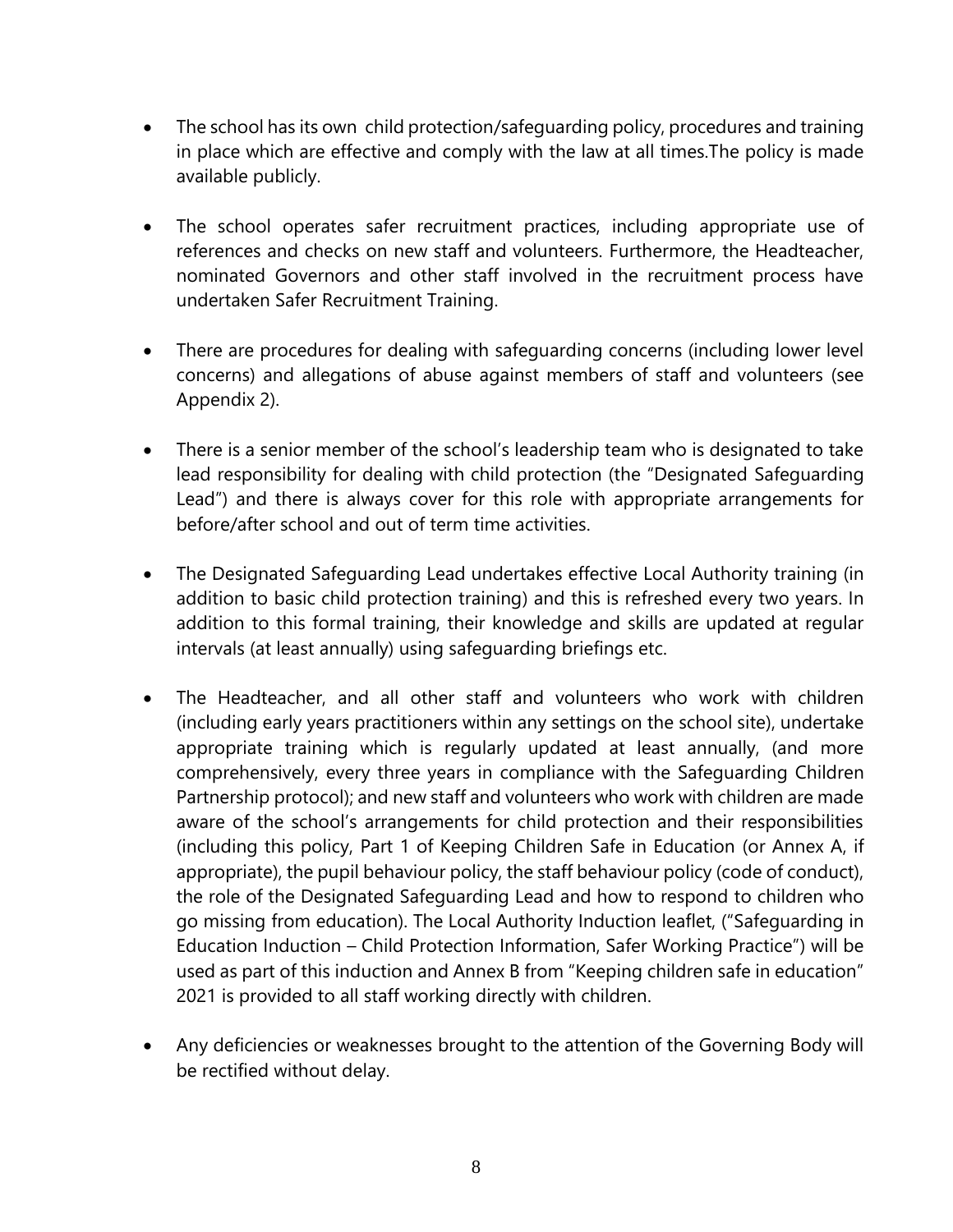- The school has its own child protection/safeguarding policy, procedures and training in place which are effective and comply with the law at all times.The policy is made available publicly.
- The school operates safer recruitment practices, including appropriate use of references and checks on new staff and volunteers. Furthermore, the Headteacher, nominated Governors and other staff involved in the recruitment process have undertaken Safer Recruitment Training.
- There are procedures for dealing with safeguarding concerns (including lower level concerns) and allegations of abuse against members of staff and volunteers (see Appendix 2).
- There is a senior member of the school's leadership team who is designated to take lead responsibility for dealing with child protection (the "Designated Safeguarding Lead") and there is always cover for this role with appropriate arrangements for before/after school and out of term time activities.
- The Designated Safeguarding Lead undertakes effective Local Authority training (in addition to basic child protection training) and this is refreshed every two years. In addition to this formal training, their knowledge and skills are updated at regular intervals (at least annually) using safeguarding briefings etc.
- The Headteacher, and all other staff and volunteers who work with children (including early years practitioners within any settings on the school site), undertake appropriate training which is regularly updated at least annually, (and more comprehensively, every three years in compliance with the Safeguarding Children Partnership protocol); and new staff and volunteers who work with children are made aware of the school's arrangements for child protection and their responsibilities (including this policy, Part 1 of Keeping Children Safe in Education (or Annex A, if appropriate), the pupil behaviour policy, the staff behaviour policy (code of conduct), the role of the Designated Safeguarding Lead and how to respond to children who go missing from education). The Local Authority Induction leaflet, ("Safeguarding in Education Induction – Child Protection Information, Safer Working Practice") will be used as part of this induction and Annex B from "Keeping children safe in education" 2021 is provided to all staff working directly with children.
- Any deficiencies or weaknesses brought to the attention of the Governing Body will be rectified without delay.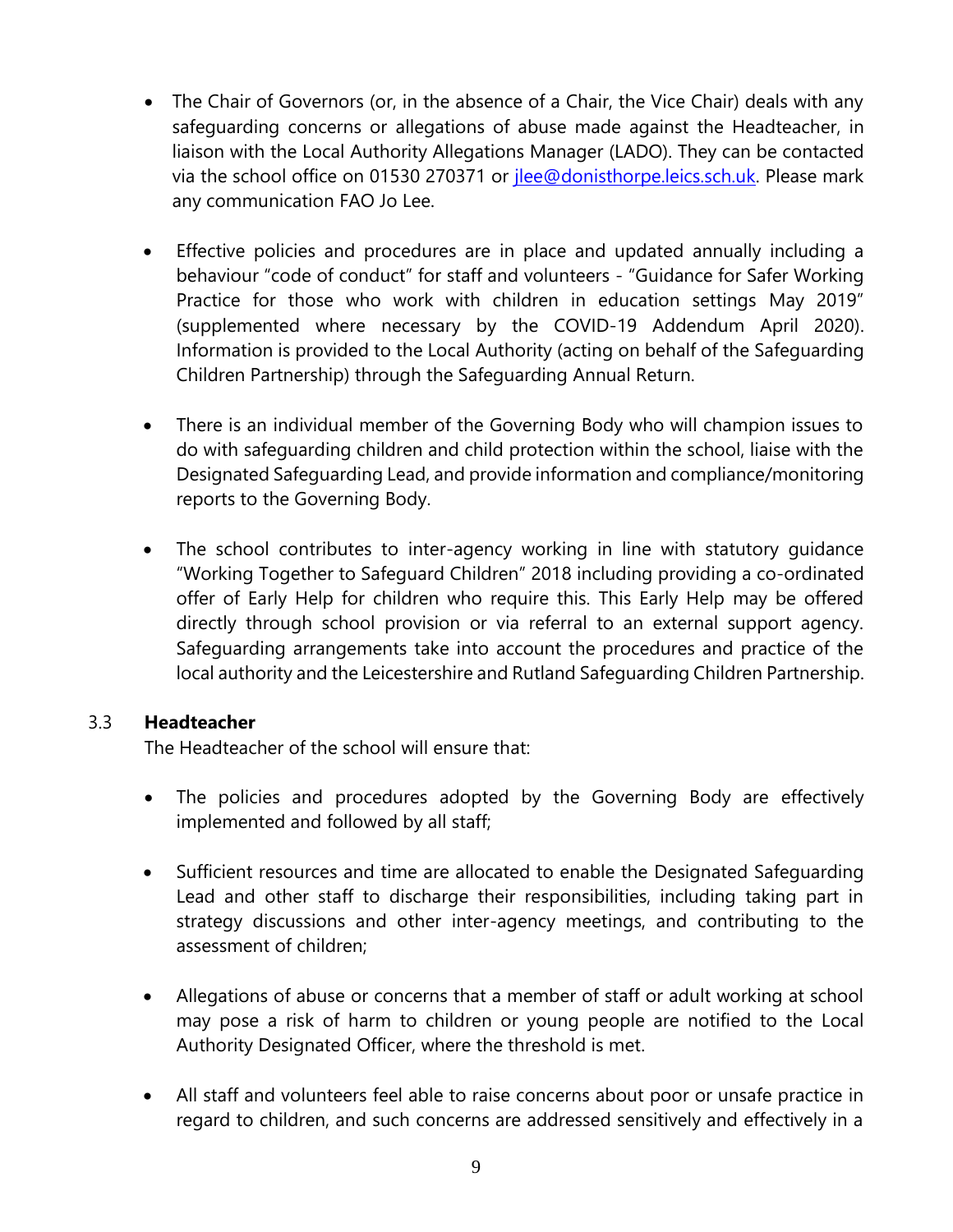- The Chair of Governors (or, in the absence of a Chair, the Vice Chair) deals with any safeguarding concerns or allegations of abuse made against the Headteacher, in liaison with the Local Authority Allegations Manager (LADO). They can be contacted via the school office on 01530 270371 or *jlee@donisthorpe.leics.sch.uk*. Please mark any communication FAO Jo Lee.
- Effective policies and procedures are in place and updated annually including a behaviour "code of conduct" for staff and volunteers - "Guidance for Safer Working Practice for those who work with children in education settings May 2019" (supplemented where necessary by the COVID-19 Addendum April 2020). Information is provided to the Local Authority (acting on behalf of the Safeguarding Children Partnership) through the Safeguarding Annual Return.
- There is an individual member of the Governing Body who will champion issues to do with safeguarding children and child protection within the school, liaise with the Designated Safeguarding Lead, and provide information and compliance/monitoring reports to the Governing Body.
- The school contributes to inter-agency working in line with statutory guidance "Working Together to Safeguard Children" 2018 including providing a co-ordinated offer of Early Help for children who require this. This Early Help may be offered directly through school provision or via referral to an external support agency. Safeguarding arrangements take into account the procedures and practice of the local authority and the Leicestershire and Rutland Safeguarding Children Partnership.

#### 3.3 **Headteacher**

The Headteacher of the school will ensure that:

- The policies and procedures adopted by the Governing Body are effectively implemented and followed by all staff;
- Sufficient resources and time are allocated to enable the Designated Safeguarding Lead and other staff to discharge their responsibilities, including taking part in strategy discussions and other inter-agency meetings, and contributing to the assessment of children;
- Allegations of abuse or concerns that a member of staff or adult working at school may pose a risk of harm to children or young people are notified to the Local Authority Designated Officer, where the threshold is met.
- All staff and volunteers feel able to raise concerns about poor or unsafe practice in regard to children, and such concerns are addressed sensitively and effectively in a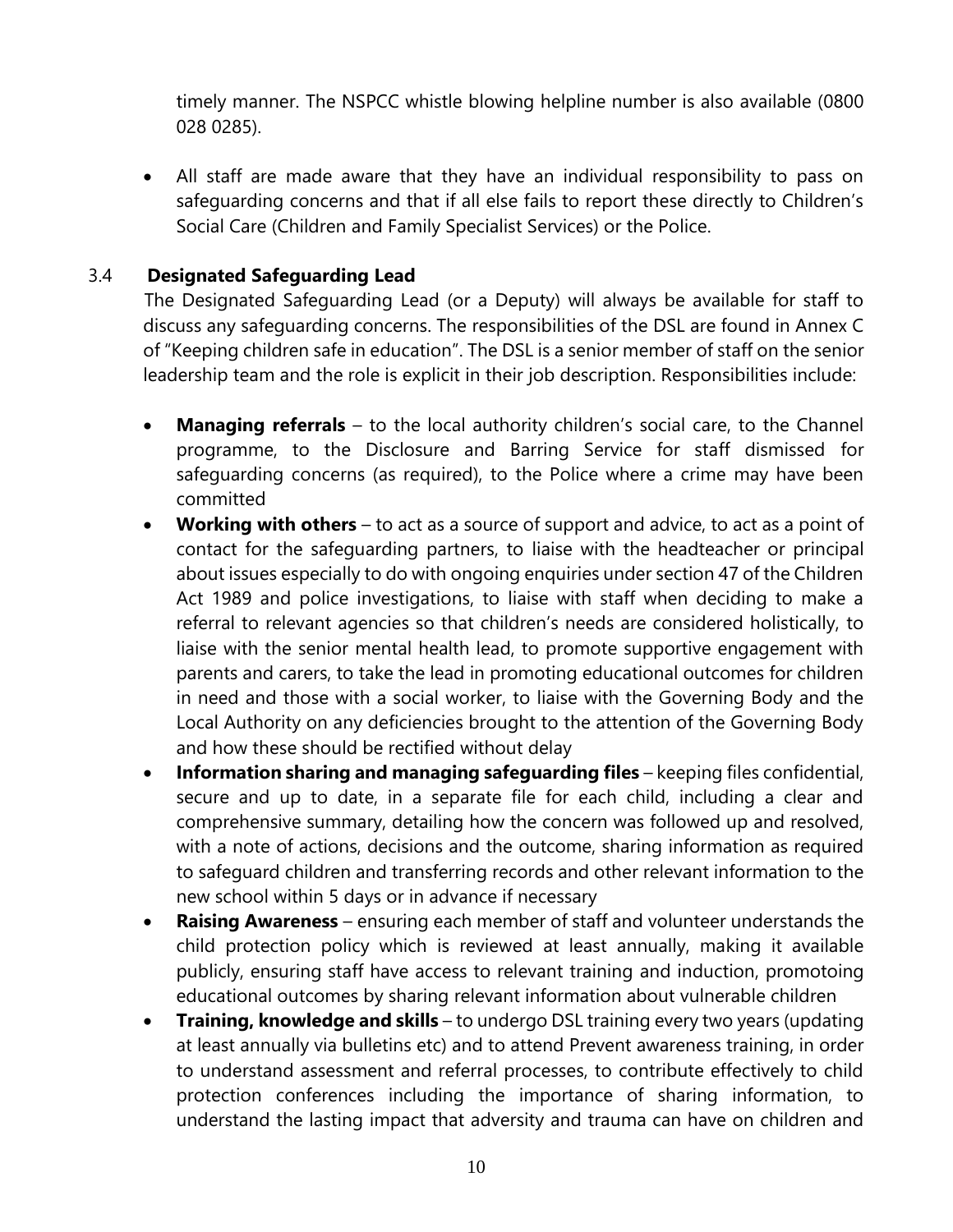timely manner. The NSPCC whistle blowing helpline number is also available (0800 028 0285).

All staff are made aware that they have an individual responsibility to pass on safeguarding concerns and that if all else fails to report these directly to Children's Social Care (Children and Family Specialist Services) or the Police.

#### 3.4 **Designated Safeguarding Lead**

The Designated Safeguarding Lead (or a Deputy) will always be available for staff to discuss any safeguarding concerns. The responsibilities of the DSL are found in Annex C of "Keeping children safe in education". The DSL is a senior member of staff on the senior leadership team and the role is explicit in their job description. Responsibilities include:

- **Managing referrals** to the local authority children's social care, to the Channel programme, to the Disclosure and Barring Service for staff dismissed for safeguarding concerns (as required), to the Police where a crime may have been committed
- **Working with others** to act as a source of support and advice, to act as a point of contact for the safeguarding partners, to liaise with the headteacher or principal about issues especially to do with ongoing enquiries under section 47 of the Children Act 1989 and police investigations, to liaise with staff when deciding to make a referral to relevant agencies so that children's needs are considered holistically, to liaise with the senior mental health lead, to promote supportive engagement with parents and carers, to take the lead in promoting educational outcomes for children in need and those with a social worker, to liaise with the Governing Body and the Local Authority on any deficiencies brought to the attention of the Governing Body and how these should be rectified without delay
- **Information sharing and managing safeguarding files** keeping files confidential, secure and up to date, in a separate file for each child, including a clear and comprehensive summary, detailing how the concern was followed up and resolved, with a note of actions, decisions and the outcome, sharing information as required to safeguard children and transferring records and other relevant information to the new school within 5 days or in advance if necessary
- **Raising Awareness** ensuring each member of staff and volunteer understands the child protection policy which is reviewed at least annually, making it available publicly, ensuring staff have access to relevant training and induction, promotoing educational outcomes by sharing relevant information about vulnerable children
- **Training, knowledge and skills**  to undergo DSL training every two years (updating at least annually via bulletins etc) and to attend Prevent awareness training, in order to understand assessment and referral processes, to contribute effectively to child protection conferences including the importance of sharing information, to understand the lasting impact that adversity and trauma can have on children and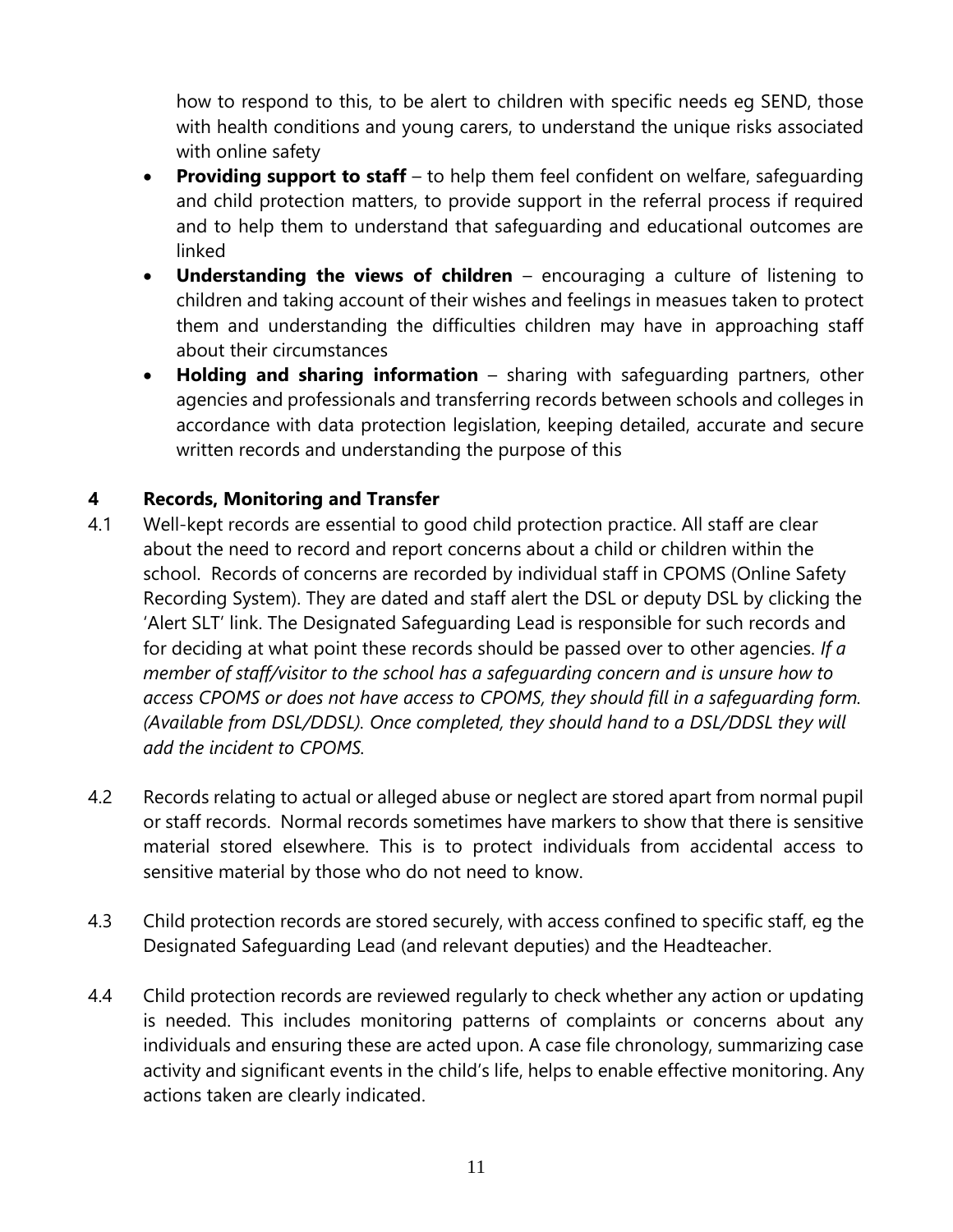how to respond to this, to be alert to children with specific needs eg SEND, those with health conditions and young carers, to understand the unique risks associated with online safety

- **Providing support to staff**  to help them feel confident on welfare, safeguarding and child protection matters, to provide support in the referral process if required and to help them to understand that safeguarding and educational outcomes are linked
- **Understanding the views of children**  encouraging a culture of listening to children and taking account of their wishes and feelings in measues taken to protect them and understanding the difficulties children may have in approaching staff about their circumstances
- **Holding and sharing information** sharing with safeguarding partners, other agencies and professionals and transferring records between schools and colleges in accordance with data protection legislation, keeping detailed, accurate and secure written records and understanding the purpose of this

### **4 Records, Monitoring and Transfer**

- 4.1 Well-kept records are essential to good child protection practice. All staff are clear about the need to record and report concerns about a child or children within the school. Records of concerns are recorded by individual staff in CPOMS (Online Safety Recording System). They are dated and staff alert the DSL or deputy DSL by clicking the 'Alert SLT' link. The Designated Safeguarding Lead is responsible for such records and for deciding at what point these records should be passed over to other agencies. *If a member of staff/visitor to the school has a safeguarding concern and is unsure how to access CPOMS or does not have access to CPOMS, they should fill in a safeguarding form. (Available from DSL/DDSL). Once completed, they should hand to a DSL/DDSL they will add the incident to CPOMS.*
- 4.2 Records relating to actual or alleged abuse or neglect are stored apart from normal pupil or staff records. Normal records sometimes have markers to show that there is sensitive material stored elsewhere. This is to protect individuals from accidental access to sensitive material by those who do not need to know.
- 4.3 Child protection records are stored securely, with access confined to specific staff, eg the Designated Safeguarding Lead (and relevant deputies) and the Headteacher.
- 4.4 Child protection records are reviewed regularly to check whether any action or updating is needed. This includes monitoring patterns of complaints or concerns about any individuals and ensuring these are acted upon. A case file chronology, summarizing case activity and significant events in the child's life, helps to enable effective monitoring. Any actions taken are clearly indicated.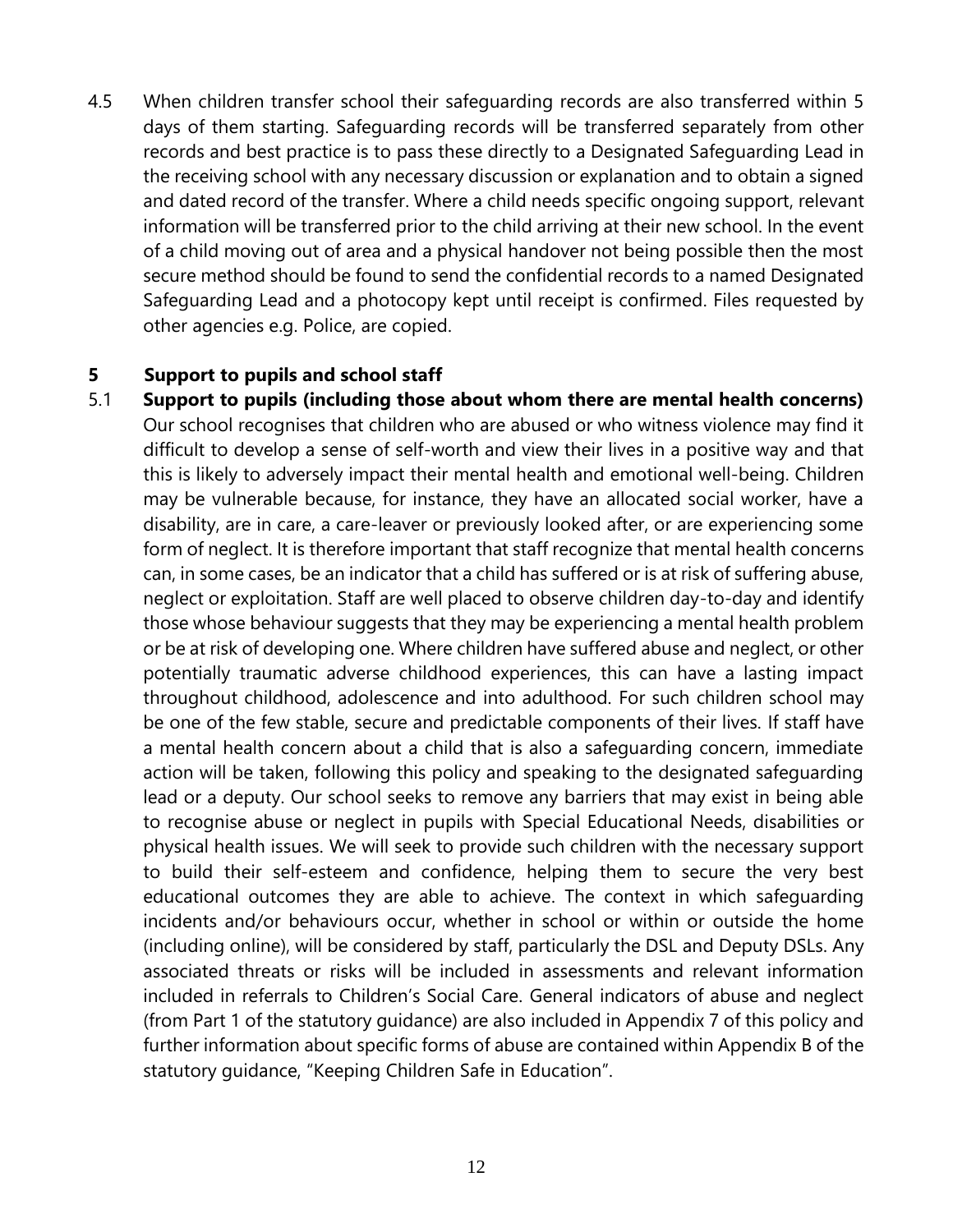4.5 When children transfer school their safeguarding records are also transferred within 5 days of them starting. Safeguarding records will be transferred separately from other records and best practice is to pass these directly to a Designated Safeguarding Lead in the receiving school with any necessary discussion or explanation and to obtain a signed and dated record of the transfer. Where a child needs specific ongoing support, relevant information will be transferred prior to the child arriving at their new school. In the event of a child moving out of area and a physical handover not being possible then the most secure method should be found to send the confidential records to a named Designated Safeguarding Lead and a photocopy kept until receipt is confirmed. Files requested by other agencies e.g. Police, are copied.

#### **5 Support to pupils and school staff**

5.1 **Support to pupils (including those about whom there are mental health concerns)** Our school recognises that children who are abused or who witness violence may find it difficult to develop a sense of self-worth and view their lives in a positive way and that this is likely to adversely impact their mental health and emotional well-being. Children may be vulnerable because, for instance, they have an allocated social worker, have a disability, are in care, a care-leaver or previously looked after, or are experiencing some form of neglect. It is therefore important that staff recognize that mental health concerns can, in some cases, be an indicator that a child has suffered or is at risk of suffering abuse, neglect or exploitation. Staff are well placed to observe children day-to-day and identify those whose behaviour suggests that they may be experiencing a mental health problem or be at risk of developing one. Where children have suffered abuse and neglect, or other potentially traumatic adverse childhood experiences, this can have a lasting impact throughout childhood, adolescence and into adulthood. For such children school may be one of the few stable, secure and predictable components of their lives. If staff have a mental health concern about a child that is also a safeguarding concern, immediate action will be taken, following this policy and speaking to the designated safeguarding lead or a deputy. Our school seeks to remove any barriers that may exist in being able to recognise abuse or neglect in pupils with Special Educational Needs, disabilities or physical health issues. We will seek to provide such children with the necessary support to build their self-esteem and confidence, helping them to secure the very best educational outcomes they are able to achieve. The context in which safeguarding incidents and/or behaviours occur, whether in school or within or outside the home (including online), will be considered by staff, particularly the DSL and Deputy DSLs. Any associated threats or risks will be included in assessments and relevant information included in referrals to Children's Social Care. General indicators of abuse and neglect (from Part 1 of the statutory guidance) are also included in Appendix 7 of this policy and further information about specific forms of abuse are contained within Appendix B of the statutory guidance, "Keeping Children Safe in Education".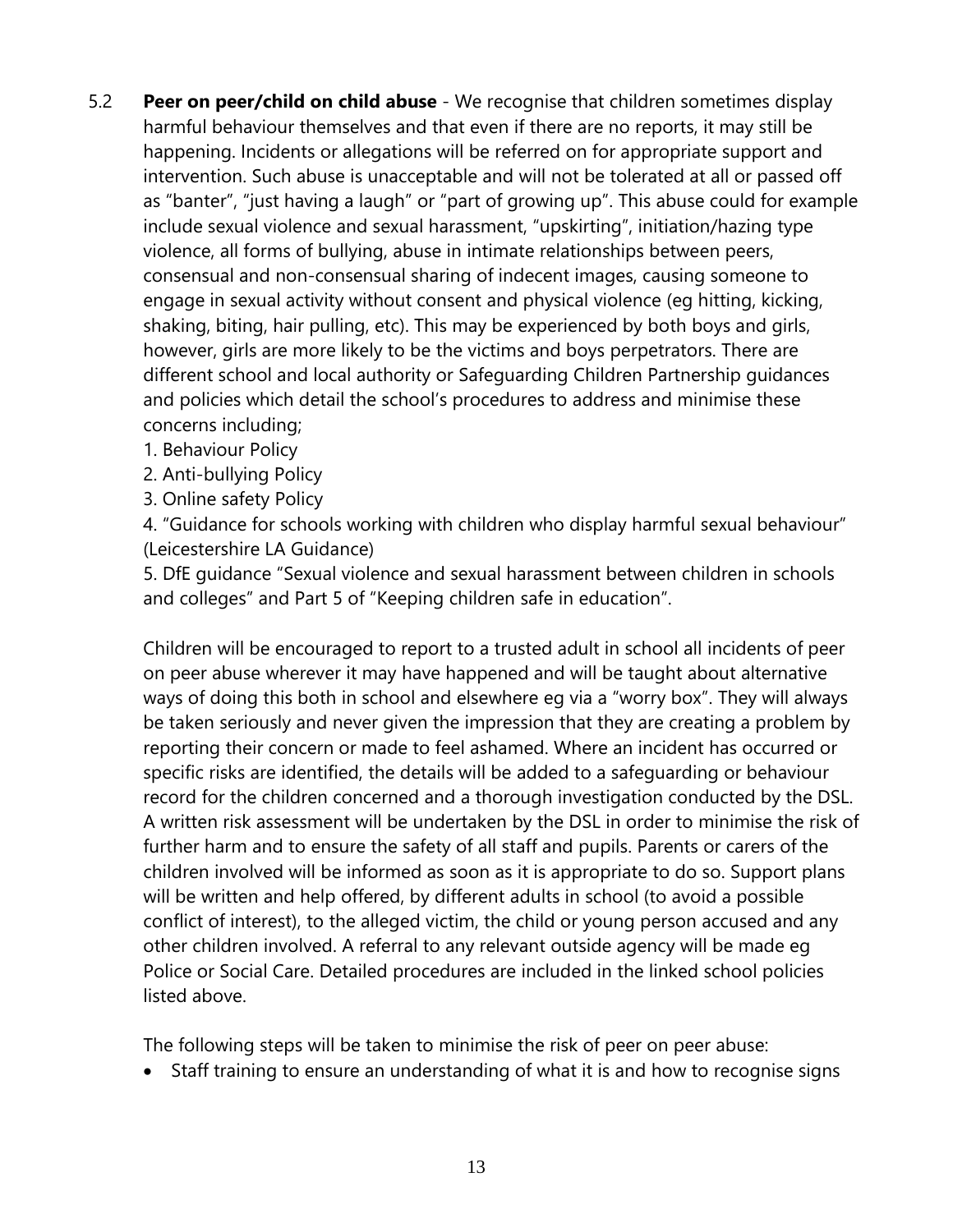- 5.2 **Peer on peer/child on child abuse** We recognise that children sometimes display harmful behaviour themselves and that even if there are no reports, it may still be happening. Incidents or allegations will be referred on for appropriate support and intervention. Such abuse is unacceptable and will not be tolerated at all or passed off as "banter", "just having a laugh" or "part of growing up". This abuse could for example include sexual violence and sexual harassment, "upskirting", initiation/hazing type violence, all forms of bullying, abuse in intimate relationships between peers, consensual and non-consensual sharing of indecent images, causing someone to engage in sexual activity without consent and physical violence (eg hitting, kicking, shaking, biting, hair pulling, etc). This may be experienced by both boys and girls, however, girls are more likely to be the victims and boys perpetrators. There are different school and local authority or Safeguarding Children Partnership guidances and policies which detail the school's procedures to address and minimise these concerns including;
	- 1. Behaviour Policy
	- 2. Anti-bullying Policy
	- 3. Online safety Policy

4. "Guidance for schools working with children who display harmful sexual behaviour" (Leicestershire LA Guidance)

5. DfE guidance "Sexual violence and sexual harassment between children in schools and colleges" and Part 5 of "Keeping children safe in education".

Children will be encouraged to report to a trusted adult in school all incidents of peer on peer abuse wherever it may have happened and will be taught about alternative ways of doing this both in school and elsewhere eg via a "worry box". They will always be taken seriously and never given the impression that they are creating a problem by reporting their concern or made to feel ashamed. Where an incident has occurred or specific risks are identified, the details will be added to a safeguarding or behaviour record for the children concerned and a thorough investigation conducted by the DSL. A written risk assessment will be undertaken by the DSL in order to minimise the risk of further harm and to ensure the safety of all staff and pupils. Parents or carers of the children involved will be informed as soon as it is appropriate to do so. Support plans will be written and help offered, by different adults in school (to avoid a possible conflict of interest), to the alleged victim, the child or young person accused and any other children involved. A referral to any relevant outside agency will be made eg Police or Social Care. Detailed procedures are included in the linked school policies listed above.

The following steps will be taken to minimise the risk of peer on peer abuse:

• Staff training to ensure an understanding of what it is and how to recognise signs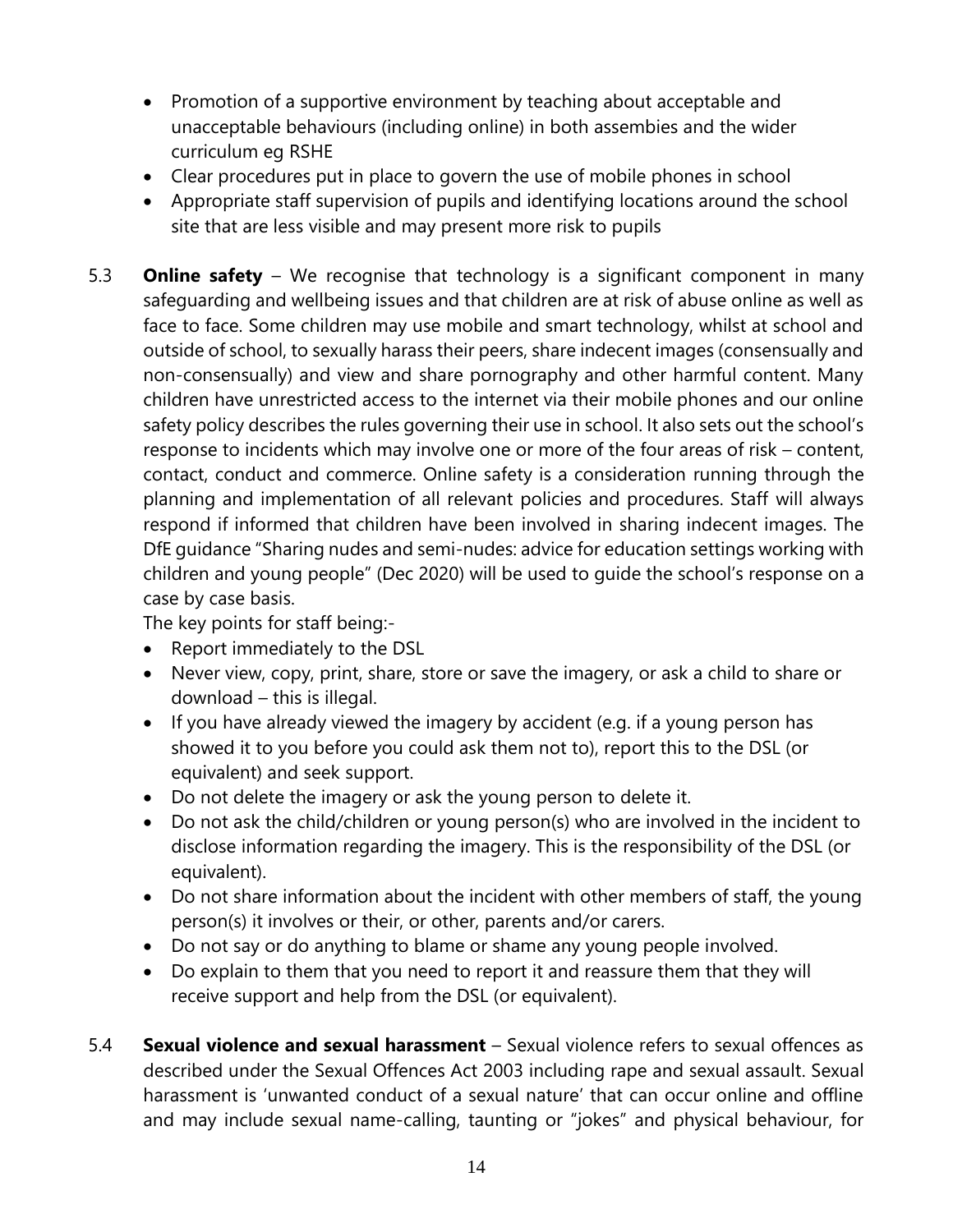- Promotion of a supportive environment by teaching about acceptable and unacceptable behaviours (including online) in both assembies and the wider curriculum eg RSHE
- Clear procedures put in place to govern the use of mobile phones in school
- Appropriate staff supervision of pupils and identifying locations around the school site that are less visible and may present more risk to pupils
- 5.3 **Online safety**  We recognise that technology is a significant component in many safeguarding and wellbeing issues and that children are at risk of abuse online as well as face to face. Some children may use mobile and smart technology, whilst at school and outside of school, to sexually harass their peers, share indecent images (consensually and non-consensually) and view and share pornography and other harmful content. Many children have unrestricted access to the internet via their mobile phones and our online safety policy describes the rules governing their use in school. It also sets out the school's response to incidents which may involve one or more of the four areas of risk – content, contact, conduct and commerce. Online safety is a consideration running through the planning and implementation of all relevant policies and procedures. Staff will always respond if informed that children have been involved in sharing indecent images. The DfE guidance "Sharing nudes and semi-nudes: advice for education settings working with children and young people" (Dec 2020) will be used to guide the school's response on a case by case basis.

The key points for staff being:-

- Report immediately to the DSL
- Never view, copy, print, share, store or save the imagery, or ask a child to share or download – this is illegal.
- If you have already viewed the imagery by accident (e.g. if a young person has showed it to you before you could ask them not to), report this to the DSL (or equivalent) and seek support.
- Do not delete the imagery or ask the young person to delete it.
- Do not ask the child/children or young person(s) who are involved in the incident to disclose information regarding the imagery. This is the responsibility of the DSL (or equivalent).
- Do not share information about the incident with other members of staff, the young person(s) it involves or their, or other, parents and/or carers.
- Do not say or do anything to blame or shame any young people involved.
- Do explain to them that you need to report it and reassure them that they will receive support and help from the DSL (or equivalent).
- 5.4 **Sexual violence and sexual harassment** Sexual violence refers to sexual offences as described under the Sexual Offences Act 2003 including rape and sexual assault. Sexual harassment is 'unwanted conduct of a sexual nature' that can occur online and offline and may include sexual name-calling, taunting or "jokes" and physical behaviour, for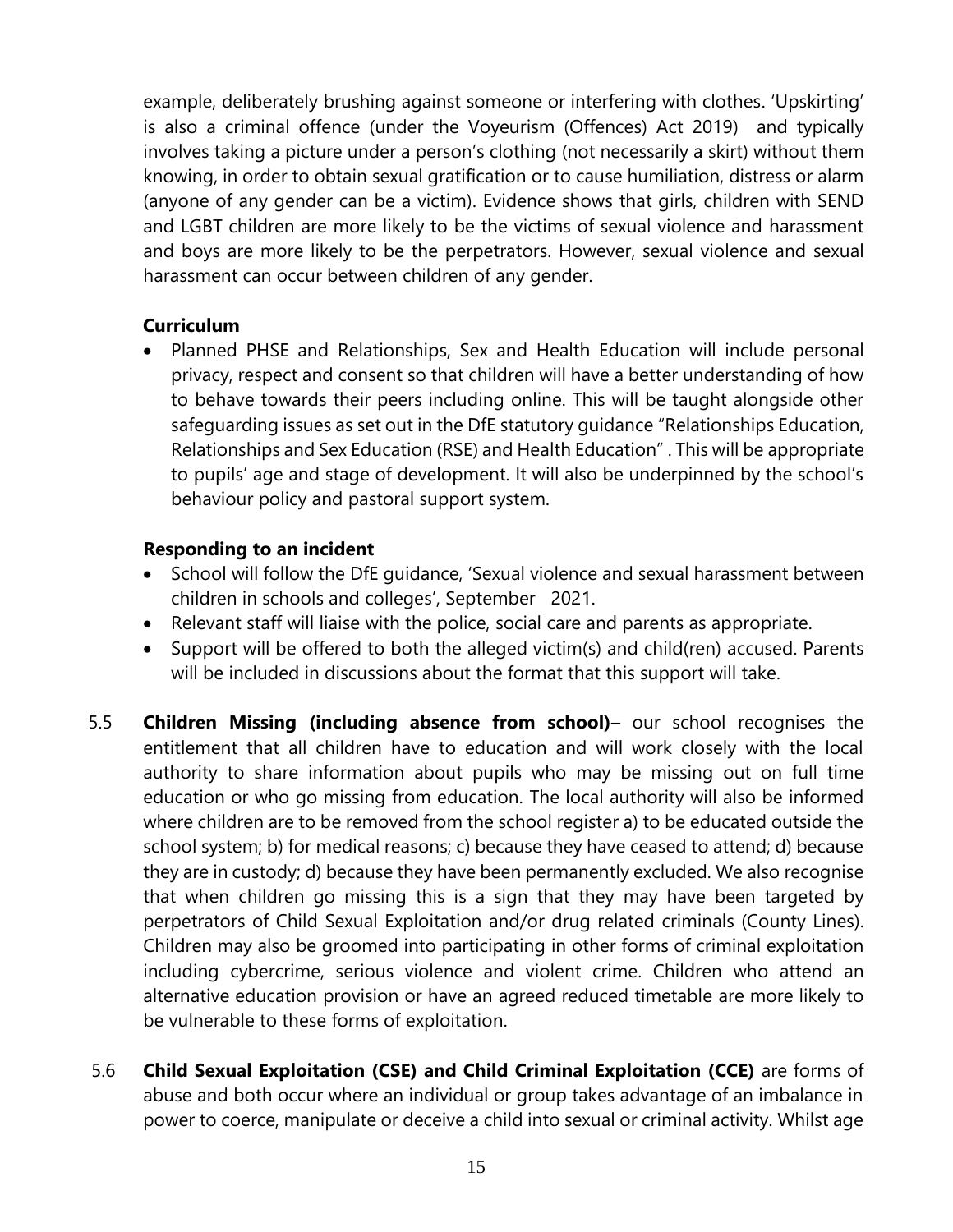example, deliberately brushing against someone or interfering with clothes. 'Upskirting' is also a criminal offence (under the Voyeurism (Offences) Act 2019) and typically involves taking a picture under a person's clothing (not necessarily a skirt) without them knowing, in order to obtain sexual gratification or to cause humiliation, distress or alarm (anyone of any gender can be a victim). Evidence shows that girls, children with SEND and LGBT children are more likely to be the victims of sexual violence and harassment and boys are more likely to be the perpetrators. However, sexual violence and sexual harassment can occur between children of any gender.

#### **Curriculum**

• Planned PHSE and Relationships, Sex and Health Education will include personal privacy, respect and consent so that children will have a better understanding of how to behave towards their peers including online. This will be taught alongside other safeguarding issues as set out in the DfE statutory guidance "Relationships Education, Relationships and Sex Education (RSE) and Health Education" . This will be appropriate to pupils' age and stage of development. It will also be underpinned by the school's behaviour policy and pastoral support system.

#### **Responding to an incident**

- School will follow the DfE guidance, 'Sexual violence and sexual harassment between children in schools and colleges', September 2021.
- Relevant staff will liaise with the police, social care and parents as appropriate.
- Support will be offered to both the alleged victim(s) and child(ren) accused. Parents will be included in discussions about the format that this support will take.
- 5.5 **Children Missing (including absence from school)** our school recognises the entitlement that all children have to education and will work closely with the local authority to share information about pupils who may be missing out on full time education or who go missing from education. The local authority will also be informed where children are to be removed from the school register a) to be educated outside the school system; b) for medical reasons; c) because they have ceased to attend; d) because they are in custody; d) because they have been permanently excluded. We also recognise that when children go missing this is a sign that they may have been targeted by perpetrators of Child Sexual Exploitation and/or drug related criminals (County Lines). Children may also be groomed into participating in other forms of criminal exploitation including cybercrime, serious violence and violent crime. Children who attend an alternative education provision or have an agreed reduced timetable are more likely to be vulnerable to these forms of exploitation.
- 5.6 **Child Sexual Exploitation (CSE) and Child Criminal Exploitation (CCE)** are forms of abuse and both occur where an individual or group takes advantage of an imbalance in power to coerce, manipulate or deceive a child into sexual or criminal activity. Whilst age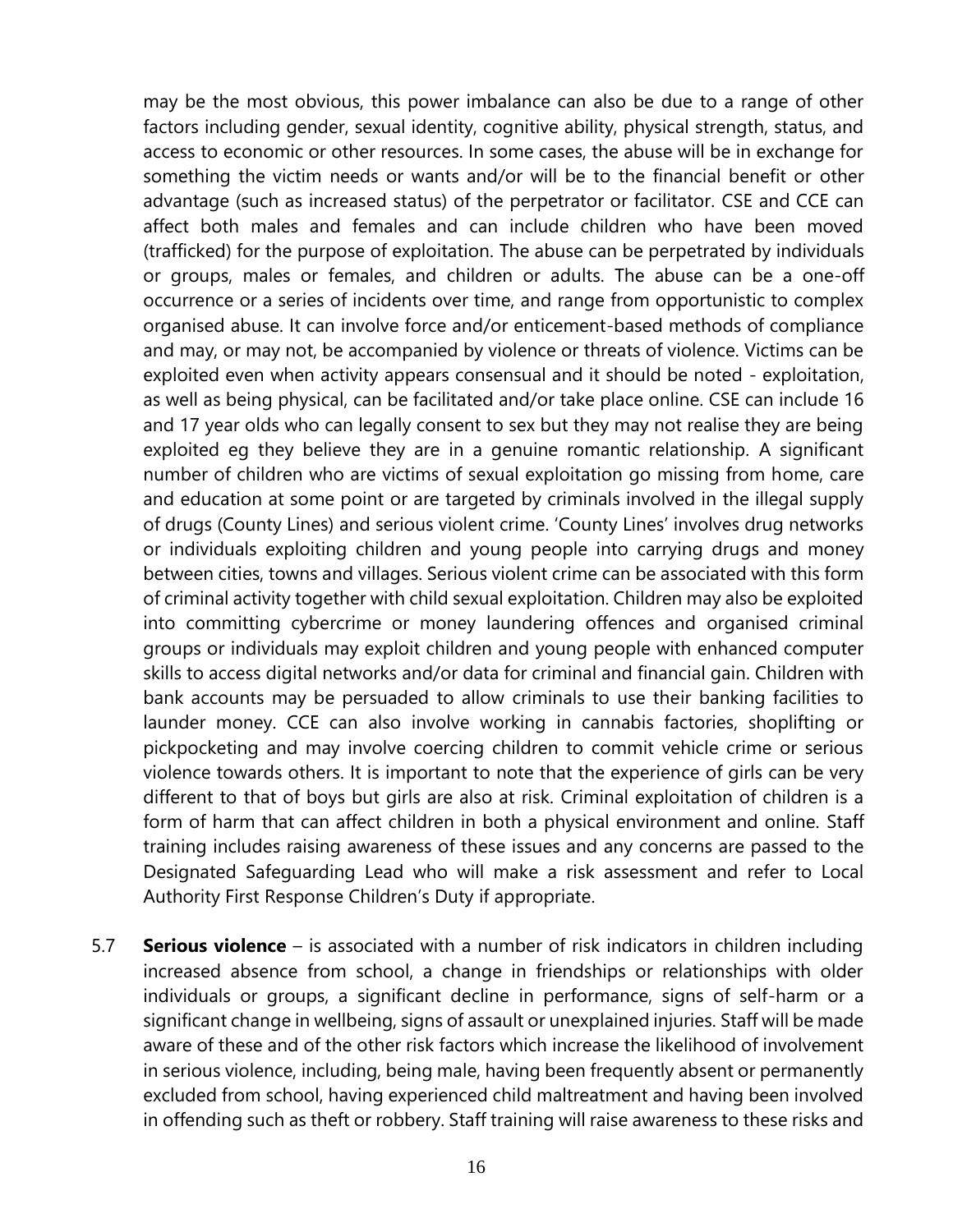may be the most obvious, this power imbalance can also be due to a range of other factors including gender, sexual identity, cognitive ability, physical strength, status, and access to economic or other resources. In some cases, the abuse will be in exchange for something the victim needs or wants and/or will be to the financial benefit or other advantage (such as increased status) of the perpetrator or facilitator. CSE and CCE can affect both males and females and can include children who have been moved (trafficked) for the purpose of exploitation. The abuse can be perpetrated by individuals or groups, males or females, and children or adults. The abuse can be a one-off occurrence or a series of incidents over time, and range from opportunistic to complex organised abuse. It can involve force and/or enticement-based methods of compliance and may, or may not, be accompanied by violence or threats of violence. Victims can be exploited even when activity appears consensual and it should be noted - exploitation, as well as being physical, can be facilitated and/or take place online. CSE can include 16 and 17 year olds who can legally consent to sex but they may not realise they are being exploited eg they believe they are in a genuine romantic relationship. A significant number of children who are victims of sexual exploitation go missing from home, care and education at some point or are targeted by criminals involved in the illegal supply of drugs (County Lines) and serious violent crime. 'County Lines' involves drug networks or individuals exploiting children and young people into carrying drugs and money between cities, towns and villages. Serious violent crime can be associated with this form of criminal activity together with child sexual exploitation. Children may also be exploited into committing cybercrime or money laundering offences and organised criminal groups or individuals may exploit children and young people with enhanced computer skills to access digital networks and/or data for criminal and financial gain. Children with bank accounts may be persuaded to allow criminals to use their banking facilities to launder money. CCE can also involve working in cannabis factories, shoplifting or pickpocketing and may involve coercing children to commit vehicle crime or serious violence towards others. It is important to note that the experience of girls can be very different to that of boys but girls are also at risk. Criminal exploitation of children is a form of harm that can affect children in both a physical environment and online. Staff training includes raising awareness of these issues and any concerns are passed to the Designated Safeguarding Lead who will make a risk assessment and refer to Local Authority First Response Children's Duty if appropriate.

5.7 **Serious violence** – is associated with a number of risk indicators in children including increased absence from school, a change in friendships or relationships with older individuals or groups, a significant decline in performance, signs of self-harm or a significant change in wellbeing, signs of assault or unexplained injuries. Staff will be made aware of these and of the other risk factors which increase the likelihood of involvement in serious violence, including, being male, having been frequently absent or permanently excluded from school, having experienced child maltreatment and having been involved in offending such as theft or robbery. Staff training will raise awareness to these risks and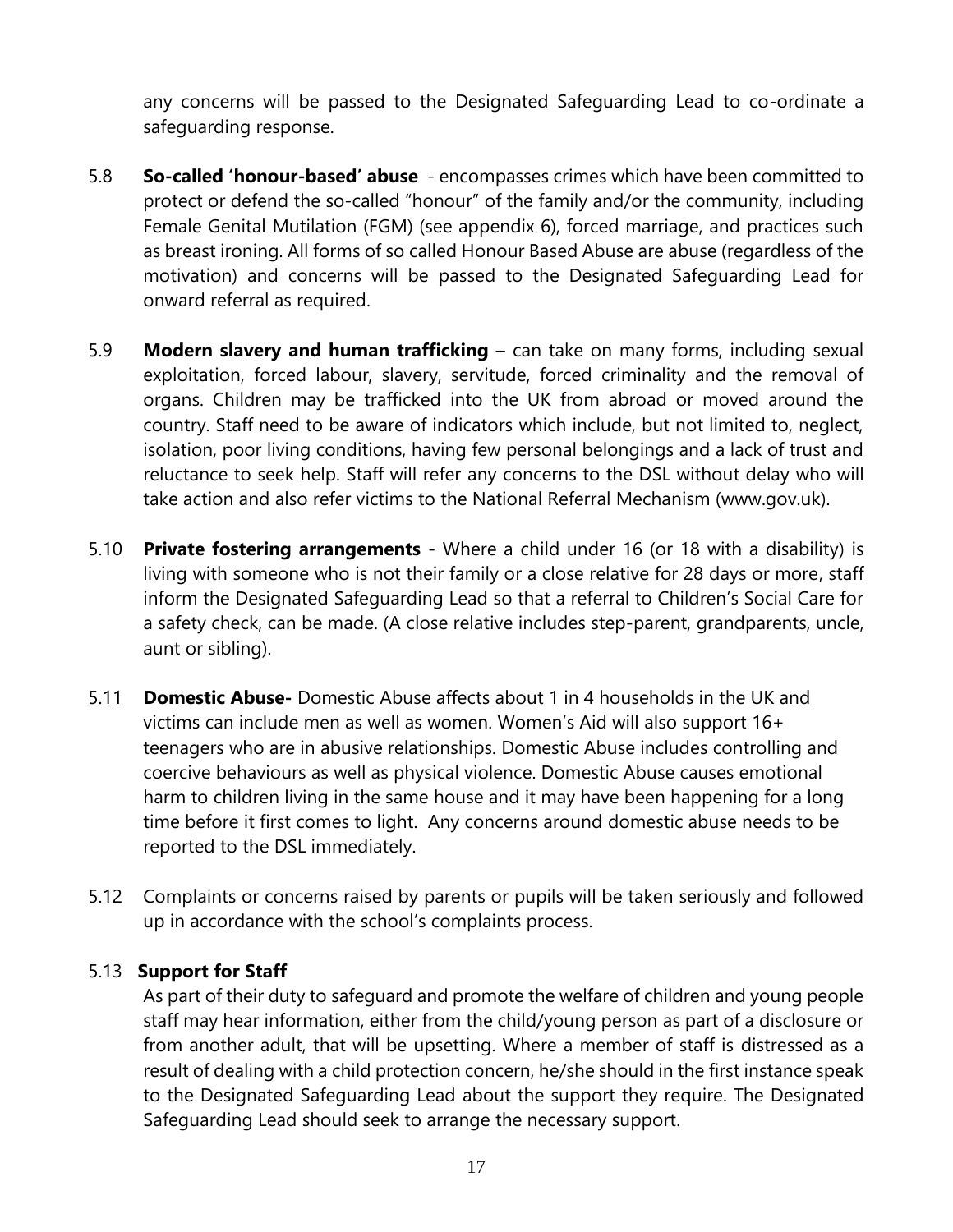any concerns will be passed to the Designated Safeguarding Lead to co-ordinate a safeguarding response.

- 5.8 **So-called 'honour-based' abuse** encompasses crimes which have been committed to protect or defend the so-called "honour" of the family and/or the community, including Female Genital Mutilation (FGM) (see appendix 6), forced marriage, and practices such as breast ironing. All forms of so called Honour Based Abuse are abuse (regardless of the motivation) and concerns will be passed to the Designated Safeguarding Lead for onward referral as required.
- 5.9 **Modern slavery and human trafficking** can take on many forms, including sexual exploitation, forced labour, slavery, servitude, forced criminality and the removal of organs. Children may be trafficked into the UK from abroad or moved around the country. Staff need to be aware of indicators which include, but not limited to, neglect, isolation, poor living conditions, having few personal belongings and a lack of trust and reluctance to seek help. Staff will refer any concerns to the DSL without delay who will take action and also refer victims to the National Referral Mechanism (www.gov.uk).
- 5.10 **Private fostering arrangements** Where a child under 16 (or 18 with a disability) is living with someone who is not their family or a close relative for 28 days or more, staff inform the Designated Safeguarding Lead so that a referral to Children's Social Care for a safety check, can be made. (A close relative includes step-parent, grandparents, uncle, aunt or sibling).
- 5.11 **Domestic Abuse-** Domestic Abuse affects about 1 in 4 households in the UK and victims can include men as well as women. Women's Aid will also support 16+ teenagers who are in abusive relationships. Domestic Abuse includes controlling and coercive behaviours as well as physical violence. Domestic Abuse causes emotional harm to children living in the same house and it may have been happening for a long time before it first comes to light. Any concerns around domestic abuse needs to be reported to the DSL immediately.
- 5.12 Complaints or concerns raised by parents or pupils will be taken seriously and followed up in accordance with the school's complaints process.

#### 5.13 **Support for Staff**

As part of their duty to safeguard and promote the welfare of children and young people staff may hear information, either from the child/young person as part of a disclosure or from another adult, that will be upsetting. Where a member of staff is distressed as a result of dealing with a child protection concern, he/she should in the first instance speak to the Designated Safeguarding Lead about the support they require. The Designated Safeguarding Lead should seek to arrange the necessary support.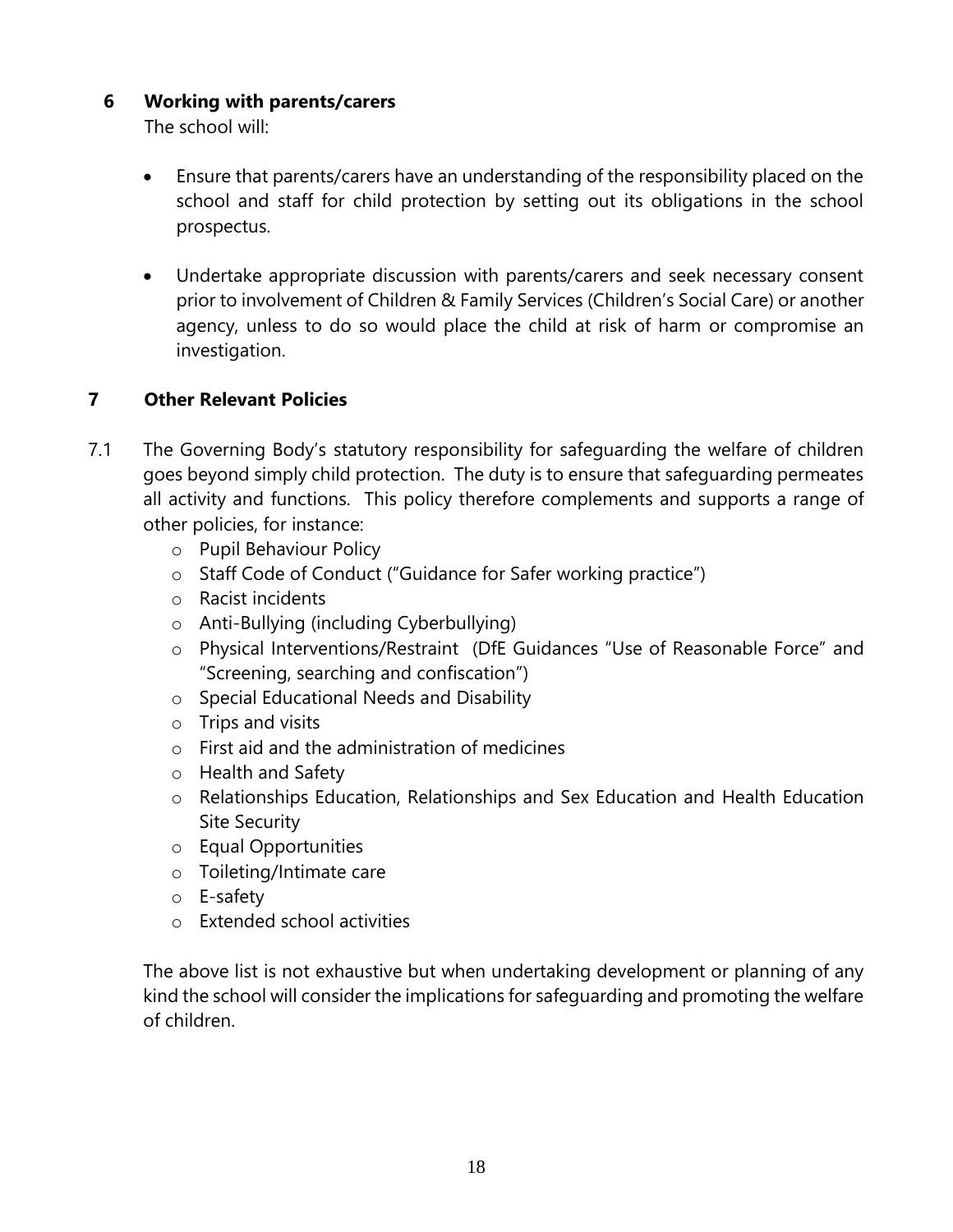# **6 Working with parents/carers**

The school will:

- Ensure that parents/carers have an understanding of the responsibility placed on the school and staff for child protection by setting out its obligations in the school prospectus.
- Undertake appropriate discussion with parents/carers and seek necessary consent prior to involvement of Children & Family Services (Children's Social Care) or another agency, unless to do so would place the child at risk of harm or compromise an investigation.

# **7 Other Relevant Policies**

- 7.1 The Governing Body's statutory responsibility for safeguarding the welfare of children goes beyond simply child protection. The duty is to ensure that safeguarding permeates all activity and functions. This policy therefore complements and supports a range of other policies, for instance:
	- o Pupil Behaviour Policy
	- o Staff Code of Conduct ("Guidance for Safer working practice")
	- o Racist incidents
	- o Anti-Bullying (including Cyberbullying)
	- o Physical Interventions/Restraint (DfE Guidances "Use of Reasonable Force" and "Screening, searching and confiscation")
	- o Special Educational Needs and Disability
	- o Trips and visits
	- $\circ$  First aid and the administration of medicines
	- o Health and Safety
	- o Relationships Education, Relationships and Sex Education and Health Education Site Security
	- o Equal Opportunities
	- o Toileting/Intimate care
	- o E-safety
	- o Extended school activities

The above list is not exhaustive but when undertaking development or planning of any kind the school will consider the implications for safeguarding and promoting the welfare of children.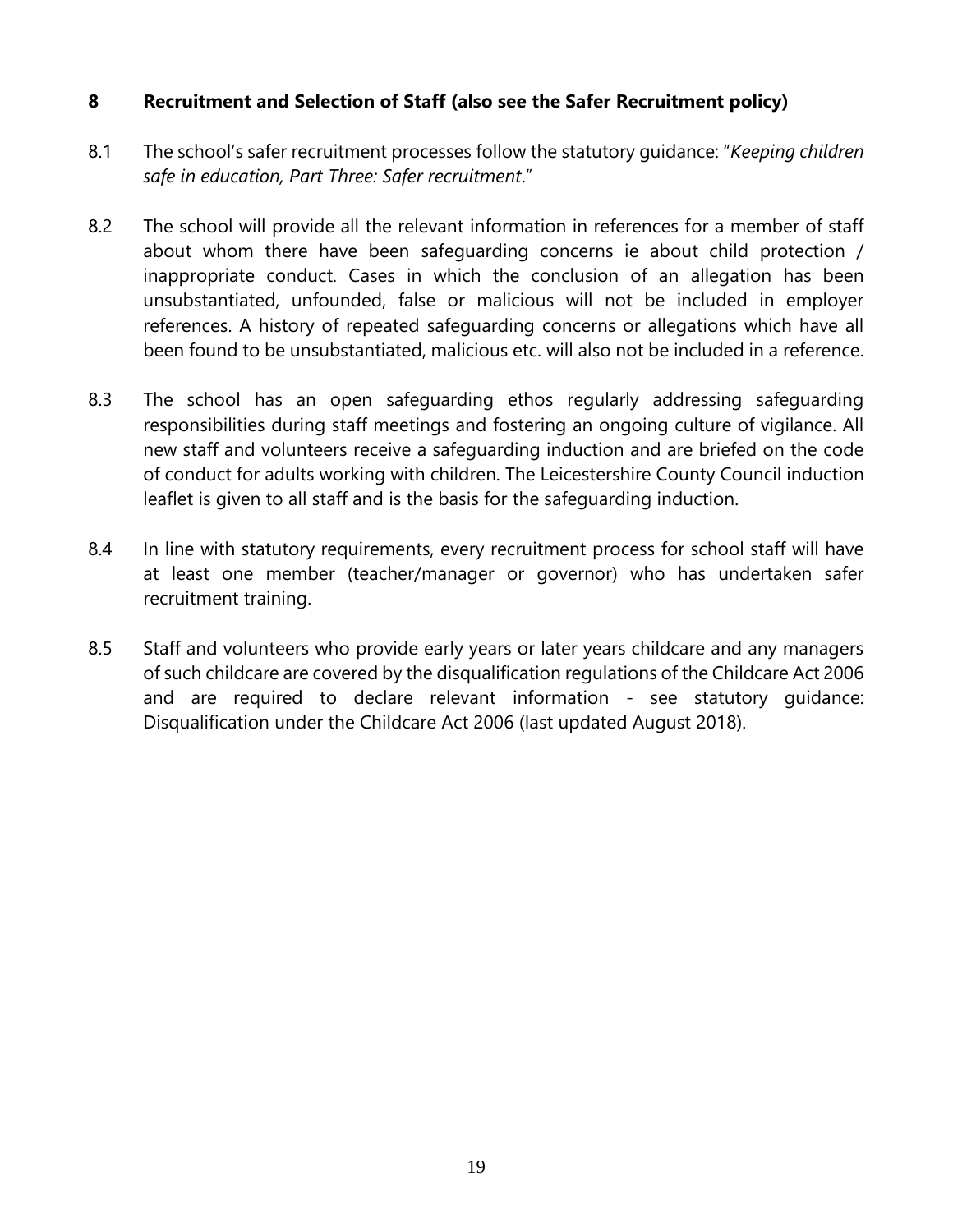#### **8 Recruitment and Selection of Staff (also see the Safer Recruitment policy)**

- 8.1 The school's safer recruitment processes follow the statutory guidance: "*Keeping children safe in education, Part Three: Safer recruitment*."
- 8.2 The school will provide all the relevant information in references for a member of staff about whom there have been safeguarding concerns ie about child protection / inappropriate conduct. Cases in which the conclusion of an allegation has been unsubstantiated, unfounded, false or malicious will not be included in employer references. A history of repeated safeguarding concerns or allegations which have all been found to be unsubstantiated, malicious etc. will also not be included in a reference.
- 8.3 The school has an open safeguarding ethos regularly addressing safeguarding responsibilities during staff meetings and fostering an ongoing culture of vigilance. All new staff and volunteers receive a safeguarding induction and are briefed on the code of conduct for adults working with children. The Leicestershire County Council induction leaflet is given to all staff and is the basis for the safeguarding induction.
- 8.4 In line with statutory requirements, every recruitment process for school staff will have at least one member (teacher/manager or governor) who has undertaken safer recruitment training.
- 8.5 Staff and volunteers who provide early years or later years childcare and any managers of such childcare are covered by the disqualification regulations of the Childcare Act 2006 and are required to declare relevant information - see statutory guidance: Disqualification under the Childcare Act 2006 (last updated August 2018).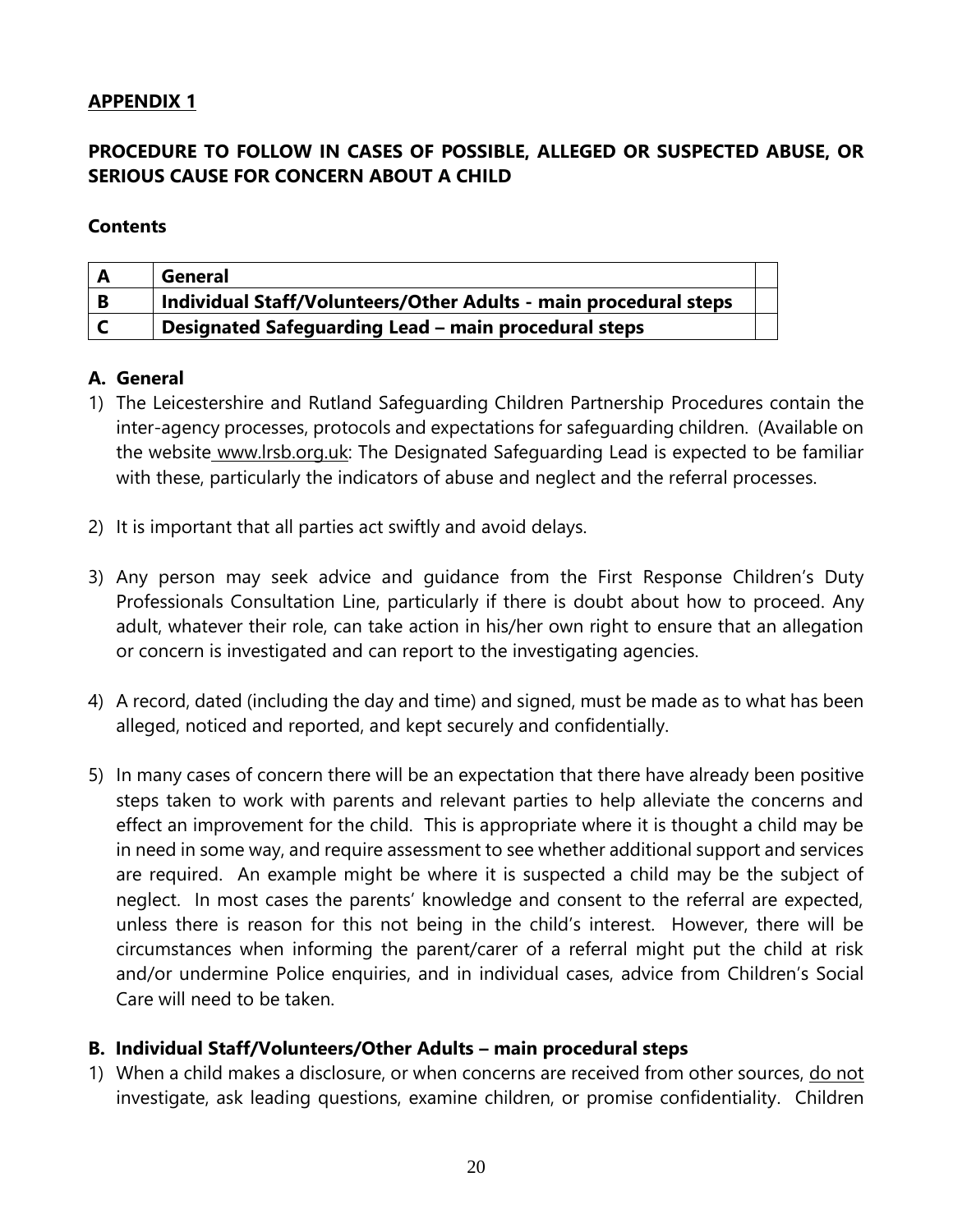# **PROCEDURE TO FOLLOW IN CASES OF POSSIBLE, ALLEGED OR SUSPECTED ABUSE, OR SERIOUS CAUSE FOR CONCERN ABOUT A CHILD**

#### **Contents**

| $\mathbf{A}$ | General                                                          |  |
|--------------|------------------------------------------------------------------|--|
| - B          | Individual Staff/Volunteers/Other Adults - main procedural steps |  |
|              | Designated Safeguarding Lead - main procedural steps             |  |

#### **A. General**

- 1) The Leicestershire and Rutland Safeguarding Children Partnership Procedures contain the inter-agency processes, protocols and expectations for safeguarding children. (Available on the website www.lrsb.org.uk: The Designated Safeguarding Lead is expected to be familiar with these, particularly the indicators of abuse and neglect and the referral processes.
- 2) It is important that all parties act swiftly and avoid delays.
- 3) Any person may seek advice and guidance from the First Response Children's Duty Professionals Consultation Line, particularly if there is doubt about how to proceed. Any adult, whatever their role, can take action in his/her own right to ensure that an allegation or concern is investigated and can report to the investigating agencies.
- 4) A record, dated (including the day and time) and signed, must be made as to what has been alleged, noticed and reported, and kept securely and confidentially.
- 5) In many cases of concern there will be an expectation that there have already been positive steps taken to work with parents and relevant parties to help alleviate the concerns and effect an improvement for the child. This is appropriate where it is thought a child may be in need in some way, and require assessment to see whether additional support and services are required. An example might be where it is suspected a child may be the subject of neglect. In most cases the parents' knowledge and consent to the referral are expected, unless there is reason for this not being in the child's interest. However, there will be circumstances when informing the parent/carer of a referral might put the child at risk and/or undermine Police enquiries, and in individual cases, advice from Children's Social Care will need to be taken.

#### **B. Individual Staff/Volunteers/Other Adults – main procedural steps**

1) When a child makes a disclosure, or when concerns are received from other sources, do not investigate, ask leading questions, examine children, or promise confidentiality. Children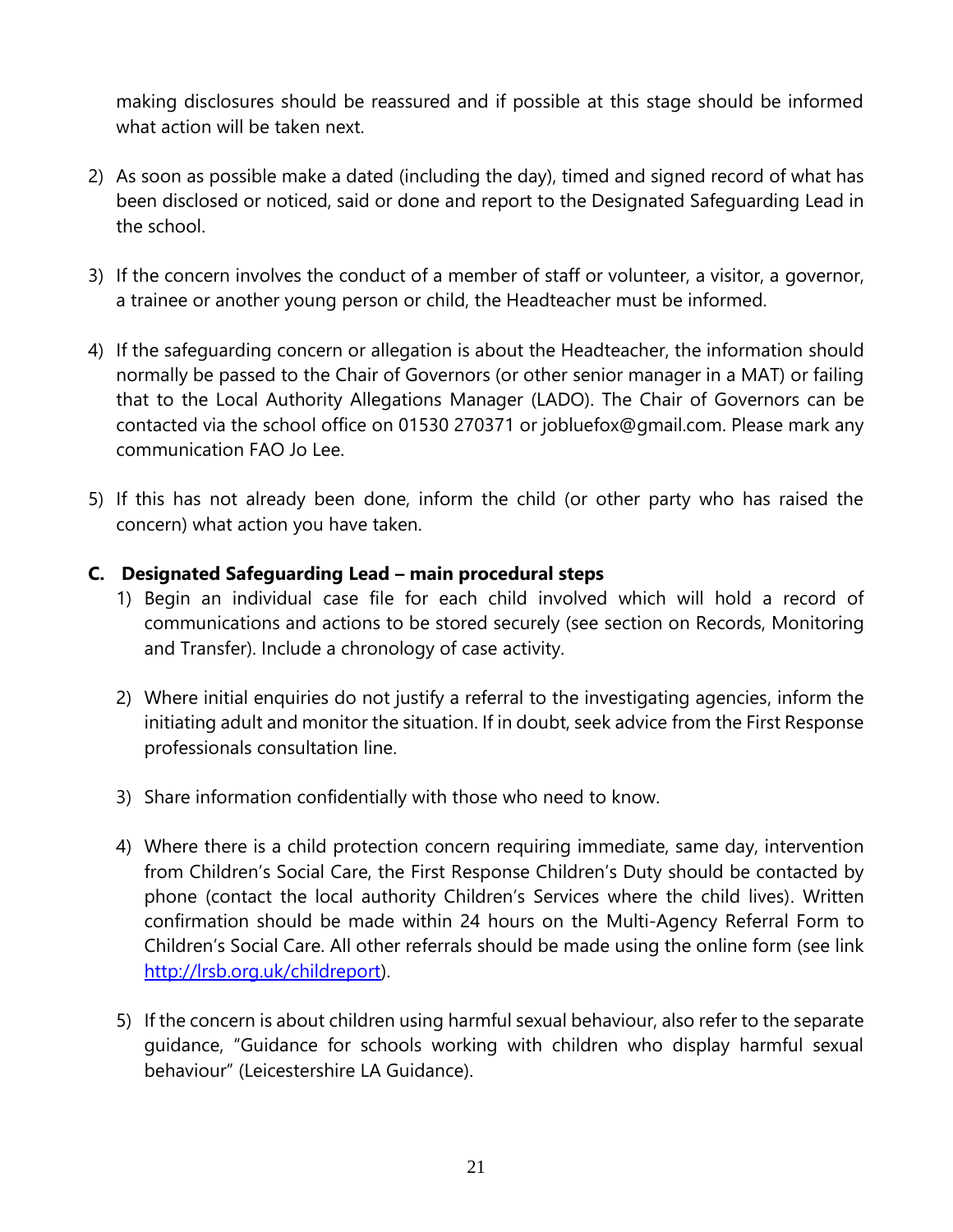making disclosures should be reassured and if possible at this stage should be informed what action will be taken next.

- 2) As soon as possible make a dated (including the day), timed and signed record of what has been disclosed or noticed, said or done and report to the Designated Safeguarding Lead in the school.
- 3) If the concern involves the conduct of a member of staff or volunteer, a visitor, a governor, a trainee or another young person or child, the Headteacher must be informed.
- 4) If the safeguarding concern or allegation is about the Headteacher, the information should normally be passed to the Chair of Governors (or other senior manager in a MAT) or failing that to the Local Authority Allegations Manager (LADO). The Chair of Governors can be contacted via the school office on 01530 270371 or jobluefox@gmail.com. Please mark any communication FAO Jo Lee.
- 5) If this has not already been done, inform the child (or other party who has raised the concern) what action you have taken.

### **C. Designated Safeguarding Lead – main procedural steps**

- 1) Begin an individual case file for each child involved which will hold a record of communications and actions to be stored securely (see section on Records, Monitoring and Transfer). Include a chronology of case activity.
- 2) Where initial enquiries do not justify a referral to the investigating agencies, inform the initiating adult and monitor the situation. If in doubt, seek advice from the First Response professionals consultation line.
- 3) Share information confidentially with those who need to know.
- 4) Where there is a child protection concern requiring immediate, same day, intervention from Children's Social Care, the First Response Children's Duty should be contacted by phone (contact the local authority Children's Services where the child lives). Written confirmation should be made within 24 hours on the Multi-Agency Referral Form to Children's Social Care. All other referrals should be made using the online form (see link [http://lrsb.org.uk/childreport\)](http://lrsb.org.uk/childreport).
- 5) If the concern is about children using harmful sexual behaviour, also refer to the separate guidance, "Guidance for schools working with children who display harmful sexual behaviour" (Leicestershire LA Guidance).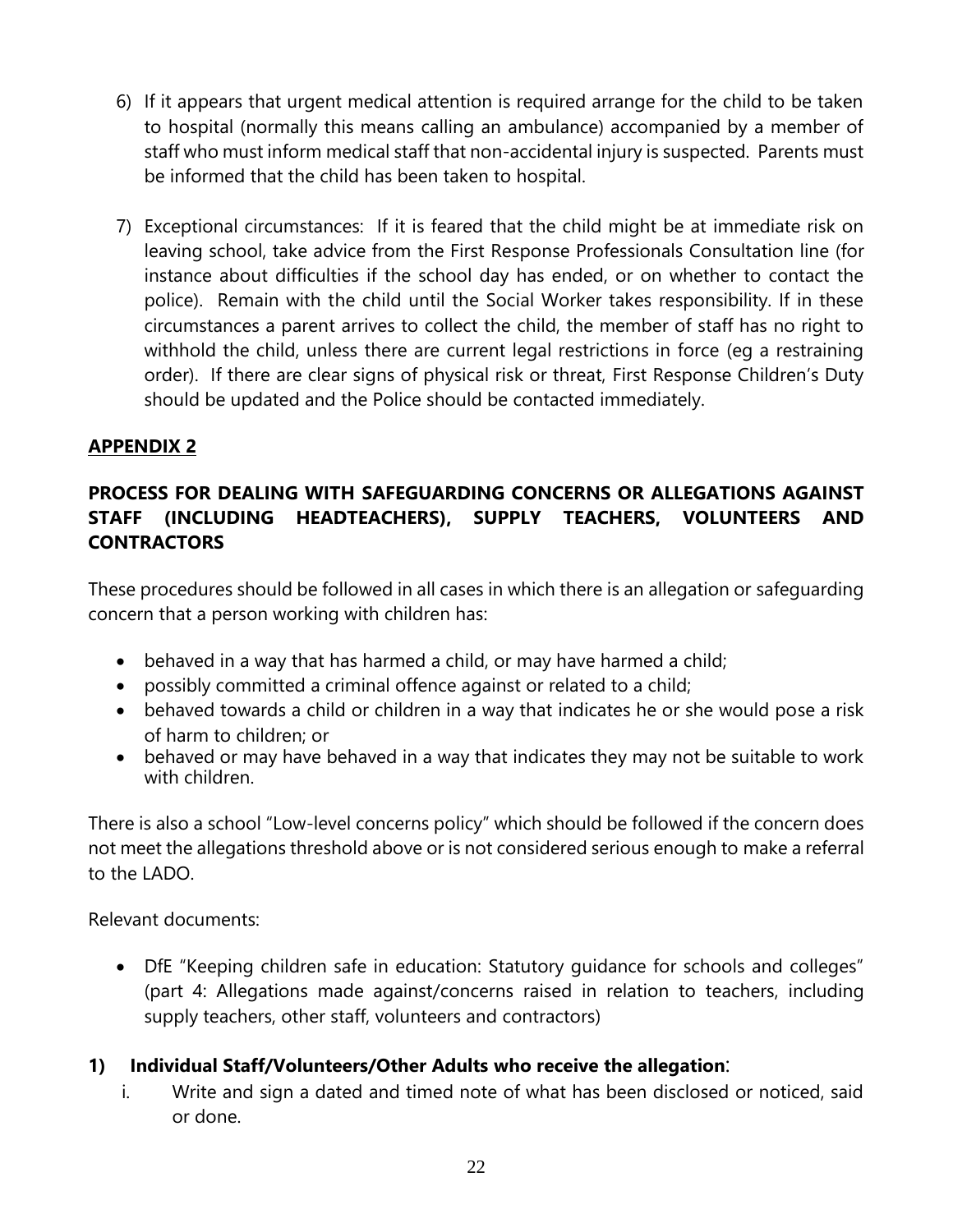- 6) If it appears that urgent medical attention is required arrange for the child to be taken to hospital (normally this means calling an ambulance) accompanied by a member of staff who must inform medical staff that non-accidental injury is suspected. Parents must be informed that the child has been taken to hospital.
- 7) Exceptional circumstances: If it is feared that the child might be at immediate risk on leaving school, take advice from the First Response Professionals Consultation line (for instance about difficulties if the school day has ended, or on whether to contact the police). Remain with the child until the Social Worker takes responsibility. If in these circumstances a parent arrives to collect the child, the member of staff has no right to withhold the child, unless there are current legal restrictions in force (eg a restraining order). If there are clear signs of physical risk or threat, First Response Children's Duty should be updated and the Police should be contacted immediately.

# **PROCESS FOR DEALING WITH SAFEGUARDING CONCERNS OR ALLEGATIONS AGAINST STAFF (INCLUDING HEADTEACHERS), SUPPLY TEACHERS, VOLUNTEERS AND CONTRACTORS**

These procedures should be followed in all cases in which there is an allegation or safeguarding concern that a person working with children has:

- behaved in a way that has harmed a child, or may have harmed a child;
- possibly committed a criminal offence against or related to a child;
- behaved towards a child or children in a way that indicates he or she would pose a risk of harm to children; or
- behaved or may have behaved in a way that indicates they may not be suitable to work with children.

There is also a school "Low-level concerns policy" which should be followed if the concern does not meet the allegations threshold above or is not considered serious enough to make a referral to the LADO.

Relevant documents:

- DfE "Keeping children safe in education: Statutory guidance for schools and colleges" (part 4: Allegations made against/concerns raised in relation to teachers, including supply teachers, other staff, volunteers and contractors)
- **1) Individual Staff/Volunteers/Other Adults who receive the allegation**:
	- i. Write and sign a dated and timed note of what has been disclosed or noticed, said or done.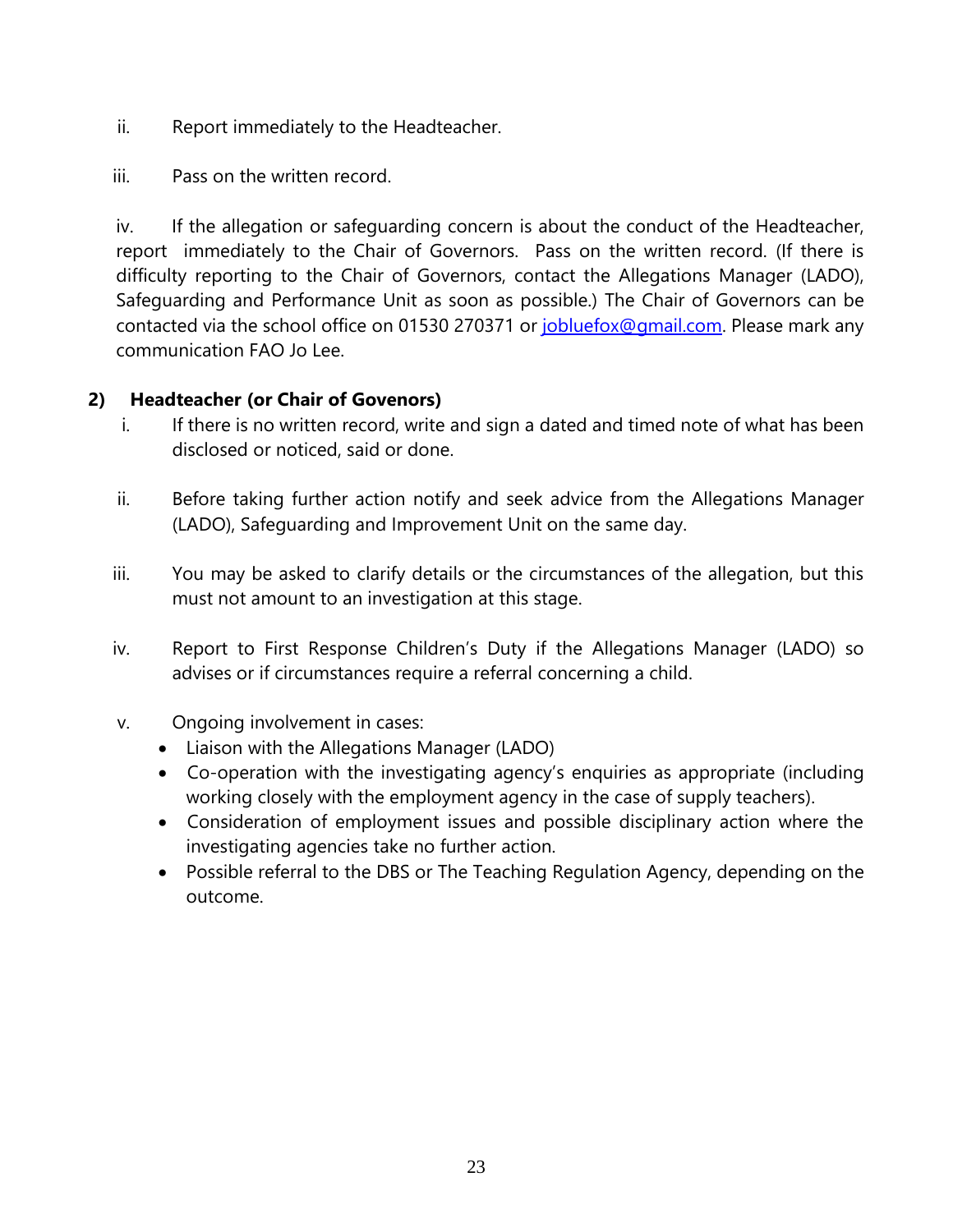ii. Report immediately to the Headteacher.

iii. Pass on the written record.

iv. If the allegation or safeguarding concern is about the conduct of the Headteacher, report immediately to the Chair of Governors. Pass on the written record. (If there is difficulty reporting to the Chair of Governors, contact the Allegations Manager (LADO), Safeguarding and Performance Unit as soon as possible.) The Chair of Governors can be contacted via the school office on 01530 270371 or [jobluefox@gmail.com.](mailto:jobluefox@gmail.com) Please mark any communication FAO Jo Lee.

### **2) Headteacher (or Chair of Govenors)**

- i. If there is no written record, write and sign a dated and timed note of what has been disclosed or noticed, said or done.
- ii. Before taking further action notify and seek advice from the Allegations Manager (LADO), Safeguarding and Improvement Unit on the same day.
- iii. You may be asked to clarify details or the circumstances of the allegation, but this must not amount to an investigation at this stage.
- iv. Report to First Response Children's Duty if the Allegations Manager (LADO) so advises or if circumstances require a referral concerning a child.
- v. Ongoing involvement in cases:
	- Liaison with the Allegations Manager (LADO)
	- Co-operation with the investigating agency's enquiries as appropriate (including working closely with the employment agency in the case of supply teachers).
	- Consideration of employment issues and possible disciplinary action where the investigating agencies take no further action.
	- Possible referral to the DBS or The Teaching Regulation Agency, depending on the outcome.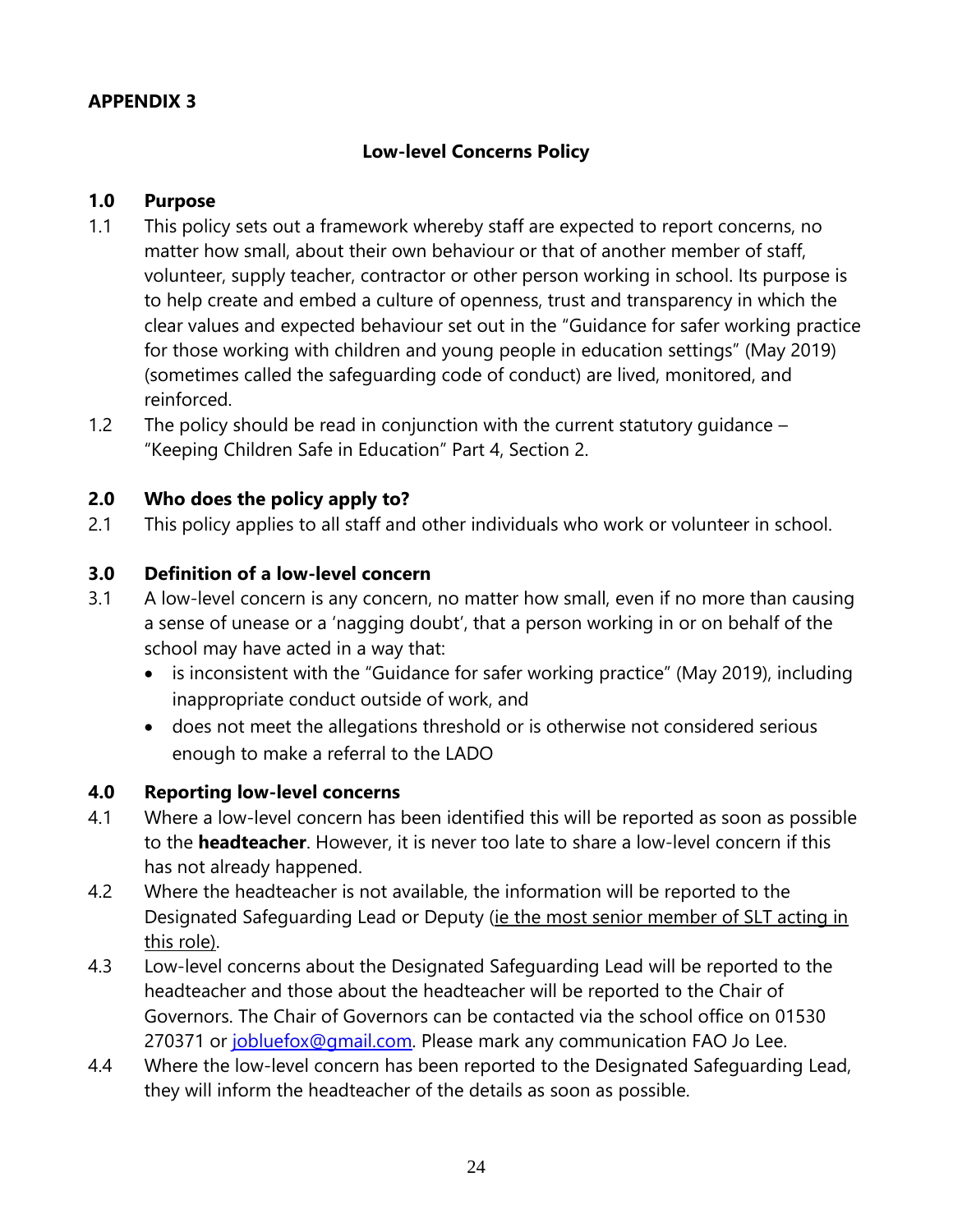### **Low-level Concerns Policy**

#### **1.0 Purpose**

- 1.1 This policy sets out a framework whereby staff are expected to report concerns, no matter how small, about their own behaviour or that of another member of staff, volunteer, supply teacher, contractor or other person working in school. Its purpose is to help create and embed a culture of openness, trust and transparency in which the clear values and expected behaviour set out in the "Guidance for safer working practice for those working with children and young people in education settings" (May 2019) (sometimes called the safeguarding code of conduct) are lived, monitored, and reinforced.
- 1.2 The policy should be read in conjunction with the current statutory guidance "Keeping Children Safe in Education" Part 4, Section 2.

#### **2.0 Who does the policy apply to?**

2.1 This policy applies to all staff and other individuals who work or volunteer in school.

#### **3.0 Definition of a low-level concern**

- 3.1 A low-level concern is any concern, no matter how small, even if no more than causing a sense of unease or a 'nagging doubt', that a person working in or on behalf of the school may have acted in a way that:
	- is inconsistent with the "Guidance for safer working practice" (May 2019), including inappropriate conduct outside of work, and
	- does not meet the allegations threshold or is otherwise not considered serious enough to make a referral to the LADO

#### **4.0 Reporting low-level concerns**

- 4.1 Where a low-level concern has been identified this will be reported as soon as possible to the **headteacher**. However, it is never too late to share a low-level concern if this has not already happened.
- 4.2 Where the headteacher is not available, the information will be reported to the Designated Safeguarding Lead or Deputy (ie the most senior member of SLT acting in this role).
- 4.3 Low-level concerns about the Designated Safeguarding Lead will be reported to the headteacher and those about the headteacher will be reported to the Chair of Governors. The Chair of Governors can be contacted via the school office on 01530 270371 or [jobluefox@gmail.com.](mailto:jobluefox@gmail.com) Please mark any communication FAO Jo Lee.
- 4.4 Where the low-level concern has been reported to the Designated Safeguarding Lead, they will inform the headteacher of the details as soon as possible.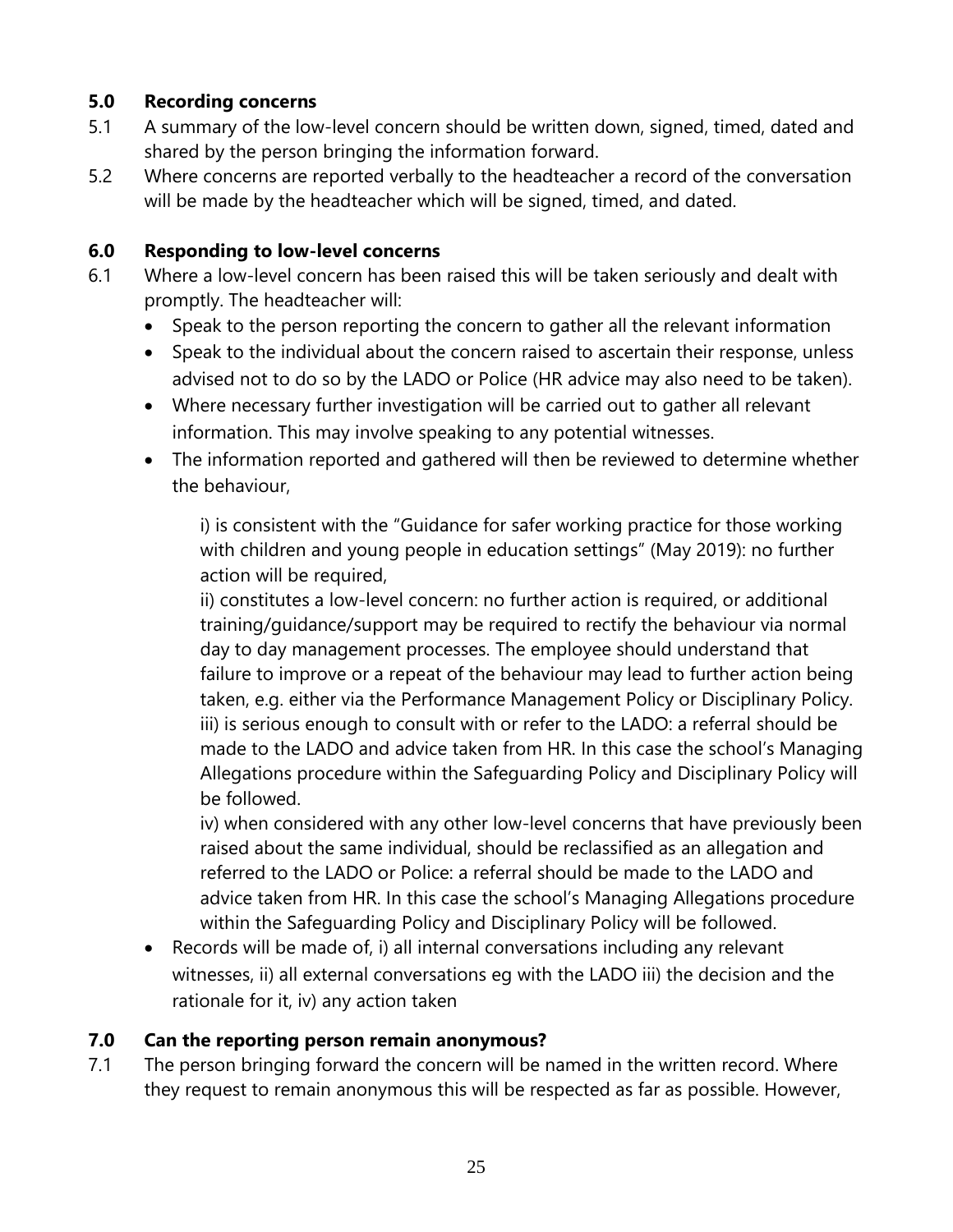# **5.0 Recording concerns**

- 5.1 A summary of the low-level concern should be written down, signed, timed, dated and shared by the person bringing the information forward.
- 5.2 Where concerns are reported verbally to the headteacher a record of the conversation will be made by the headteacher which will be signed, timed, and dated.

# **6.0 Responding to low-level concerns**

- 6.1 Where a low-level concern has been raised this will be taken seriously and dealt with promptly. The headteacher will:
	- Speak to the person reporting the concern to gather all the relevant information
	- Speak to the individual about the concern raised to ascertain their response, unless advised not to do so by the LADO or Police (HR advice may also need to be taken).
	- Where necessary further investigation will be carried out to gather all relevant information. This may involve speaking to any potential witnesses.
	- The information reported and gathered will then be reviewed to determine whether the behaviour,

i) is consistent with the "Guidance for safer working practice for those working with children and young people in education settings" (May 2019): no further action will be required,

ii) constitutes a low-level concern: no further action is required, or additional training/guidance/support may be required to rectify the behaviour via normal day to day management processes. The employee should understand that failure to improve or a repeat of the behaviour may lead to further action being taken, e.g. either via the Performance Management Policy or Disciplinary Policy. iii) is serious enough to consult with or refer to the LADO: a referral should be made to the LADO and advice taken from HR. In this case the school's Managing Allegations procedure within the Safeguarding Policy and Disciplinary Policy will be followed.

iv) when considered with any other low-level concerns that have previously been raised about the same individual, should be reclassified as an allegation and referred to the LADO or Police: a referral should be made to the LADO and advice taken from HR. In this case the school's Managing Allegations procedure within the Safeguarding Policy and Disciplinary Policy will be followed.

• Records will be made of, i) all internal conversations including any relevant witnesses, ii) all external conversations eg with the LADO iii) the decision and the rationale for it, iv) any action taken

# **7.0 Can the reporting person remain anonymous?**

7.1 The person bringing forward the concern will be named in the written record. Where they request to remain anonymous this will be respected as far as possible. However,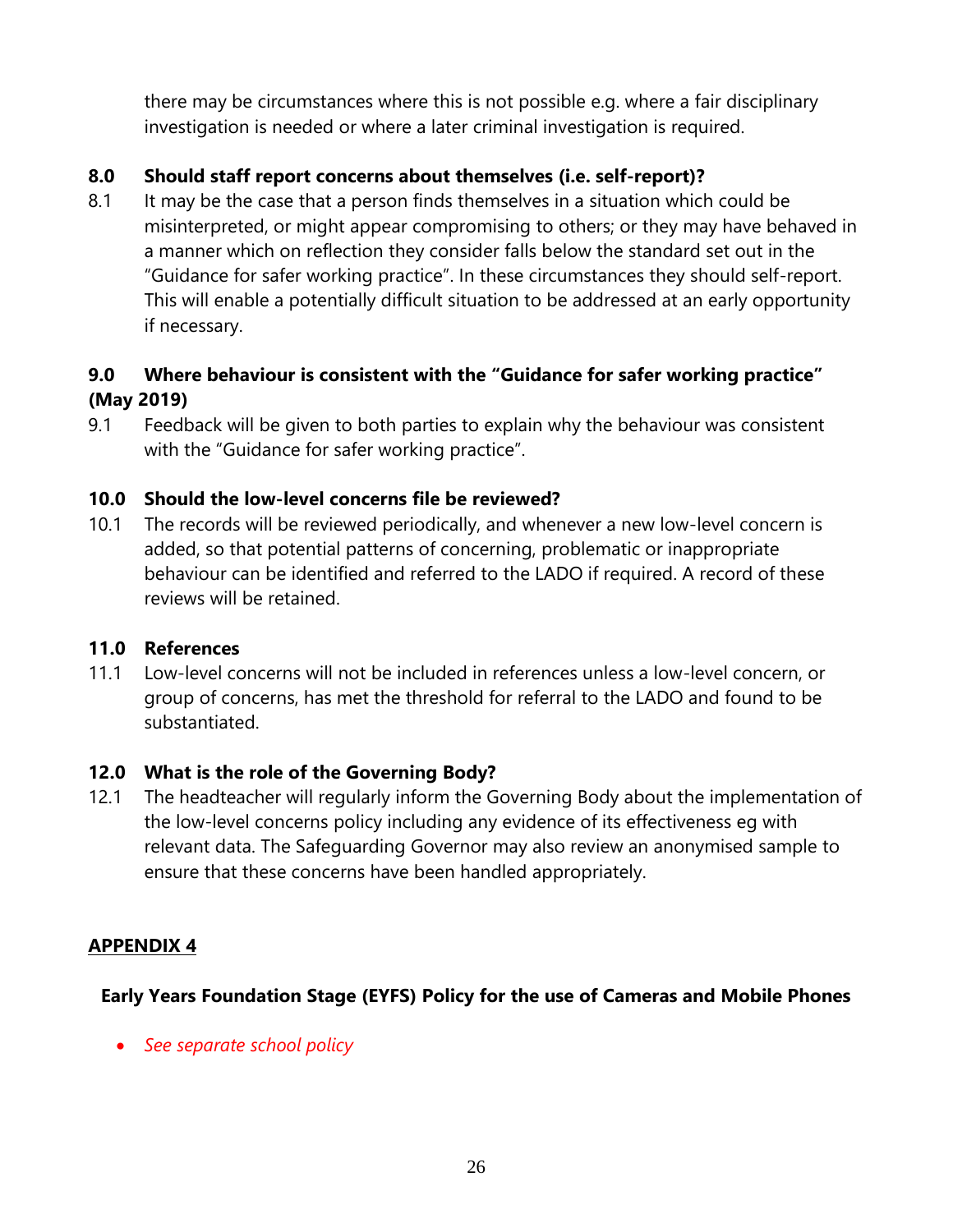there may be circumstances where this is not possible e.g. where a fair disciplinary investigation is needed or where a later criminal investigation is required.

# **8.0 Should staff report concerns about themselves (i.e. self-report)?**

8.1 It may be the case that a person finds themselves in a situation which could be misinterpreted, or might appear compromising to others; or they may have behaved in a manner which on reflection they consider falls below the standard set out in the "Guidance for safer working practice". In these circumstances they should self-report. This will enable a potentially difficult situation to be addressed at an early opportunity if necessary.

# **9.0 Where behaviour is consistent with the "Guidance for safer working practice" (May 2019)**

9.1 Feedback will be given to both parties to explain why the behaviour was consistent with the "Guidance for safer working practice".

### **10.0 Should the low-level concerns file be reviewed?**

10.1 The records will be reviewed periodically, and whenever a new low-level concern is added, so that potential patterns of concerning, problematic or inappropriate behaviour can be identified and referred to the LADO if required. A record of these reviews will be retained.

#### **11.0 References**

11.1 Low-level concerns will not be included in references unless a low-level concern, or group of concerns, has met the threshold for referral to the LADO and found to be substantiated.

#### **12.0 What is the role of the Governing Body?**

12.1 The headteacher will regularly inform the Governing Body about the implementation of the low-level concerns policy including any evidence of its effectiveness eg with relevant data. The Safeguarding Governor may also review an anonymised sample to ensure that these concerns have been handled appropriately.

#### **APPENDIX 4**

#### **Early Years Foundation Stage (EYFS) Policy for the use of Cameras and Mobile Phones**

• *See separate school policy*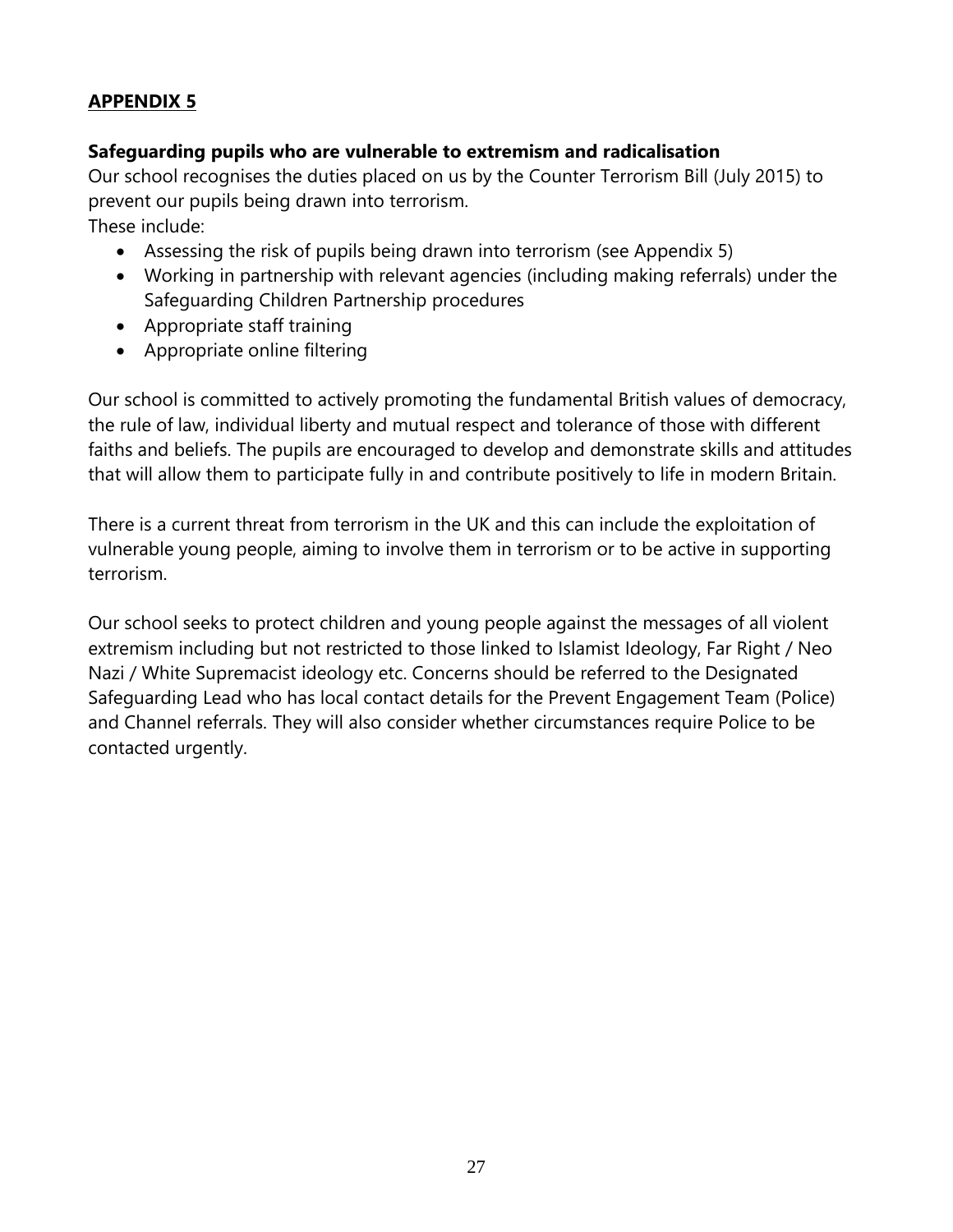#### **Safeguarding pupils who are vulnerable to extremism and radicalisation**

Our school recognises the duties placed on us by the Counter Terrorism Bill (July 2015) to prevent our pupils being drawn into terrorism.

These include:

- Assessing the risk of pupils being drawn into terrorism (see Appendix 5)
- Working in partnership with relevant agencies (including making referrals) under the Safeguarding Children Partnership procedures
- Appropriate staff training
- Appropriate online filtering

Our school is committed to actively promoting the fundamental British values of democracy, the rule of law, individual liberty and mutual respect and tolerance of those with different faiths and beliefs. The pupils are encouraged to develop and demonstrate skills and attitudes that will allow them to participate fully in and contribute positively to life in modern Britain.

There is a current threat from terrorism in the UK and this can include the exploitation of vulnerable young people, aiming to involve them in terrorism or to be active in supporting terrorism.

Our school seeks to protect children and young people against the messages of all violent extremism including but not restricted to those linked to Islamist Ideology, Far Right / Neo Nazi / White Supremacist ideology etc. Concerns should be referred to the Designated Safeguarding Lead who has local contact details for the Prevent Engagement Team (Police) and Channel referrals. They will also consider whether circumstances require Police to be contacted urgently.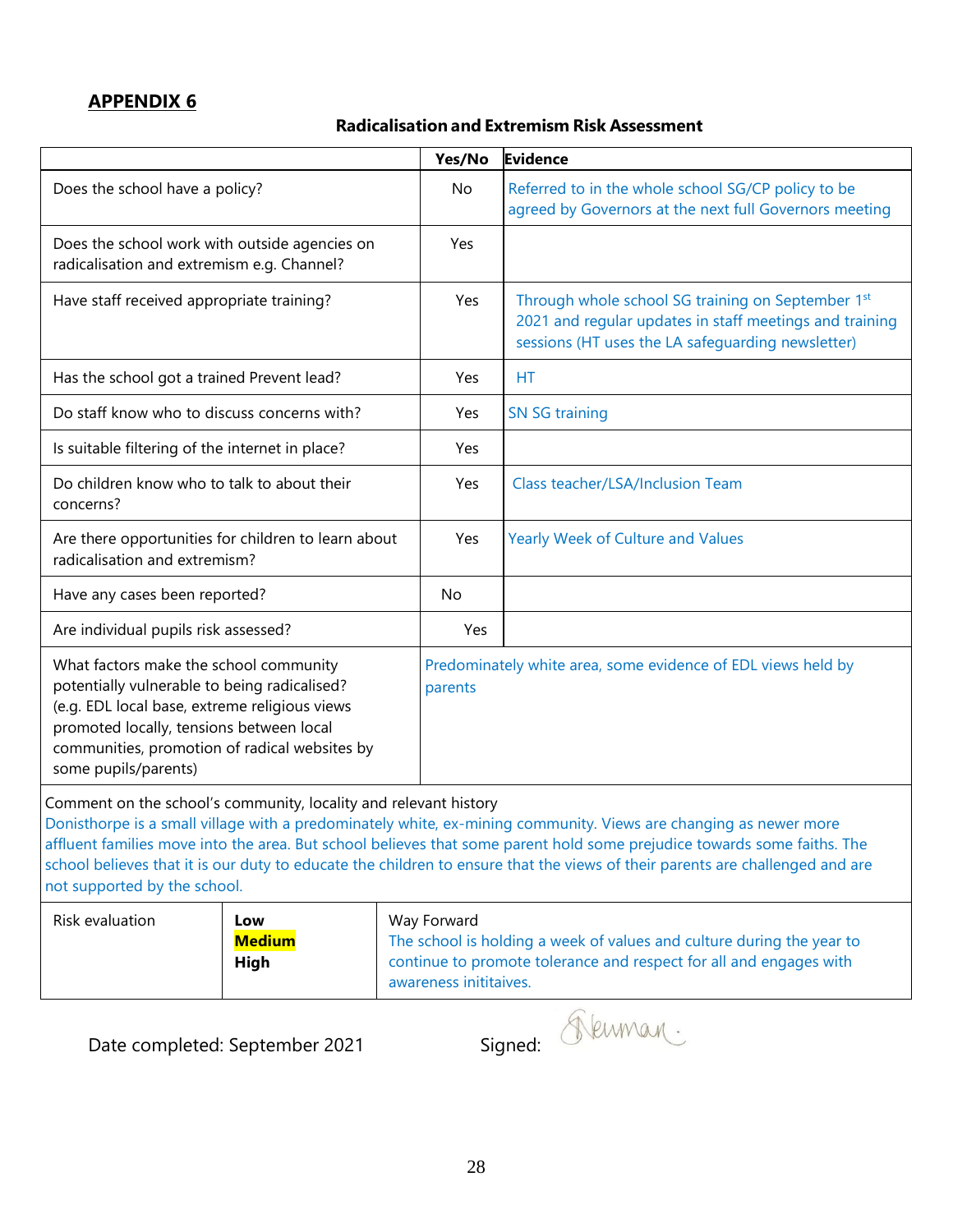#### **Radicalisation and Extremism Risk Assessment**

|                                                                                                                                                                                                                                                              | Yes/No                                                                  | Evidence                                                                                                                                                          |
|--------------------------------------------------------------------------------------------------------------------------------------------------------------------------------------------------------------------------------------------------------------|-------------------------------------------------------------------------|-------------------------------------------------------------------------------------------------------------------------------------------------------------------|
| Does the school have a policy?                                                                                                                                                                                                                               | No                                                                      | Referred to in the whole school SG/CP policy to be<br>agreed by Governors at the next full Governors meeting                                                      |
| Does the school work with outside agencies on<br>radicalisation and extremism e.g. Channel?                                                                                                                                                                  | Yes                                                                     |                                                                                                                                                                   |
| Have staff received appropriate training?                                                                                                                                                                                                                    | Yes                                                                     | Through whole school SG training on September 1st<br>2021 and regular updates in staff meetings and training<br>sessions (HT uses the LA safequarding newsletter) |
| Has the school got a trained Prevent lead?                                                                                                                                                                                                                   | Yes                                                                     | <b>HT</b>                                                                                                                                                         |
| Do staff know who to discuss concerns with?                                                                                                                                                                                                                  | Yes                                                                     | <b>SN SG training</b>                                                                                                                                             |
| Is suitable filtering of the internet in place?                                                                                                                                                                                                              | <b>Yes</b>                                                              |                                                                                                                                                                   |
| Do children know who to talk to about their<br>concerns?                                                                                                                                                                                                     | Yes                                                                     | Class teacher/LSA/Inclusion Team                                                                                                                                  |
| Are there opportunities for children to learn about<br>radicalisation and extremism?                                                                                                                                                                         | Yes                                                                     | Yearly Week of Culture and Values                                                                                                                                 |
| Have any cases been reported?                                                                                                                                                                                                                                | <b>No</b>                                                               |                                                                                                                                                                   |
| Are individual pupils risk assessed?                                                                                                                                                                                                                         | Yes                                                                     |                                                                                                                                                                   |
| What factors make the school community<br>potentially vulnerable to being radicalised?<br>(e.g. EDL local base, extreme religious views<br>promoted locally, tensions between local<br>communities, promotion of radical websites by<br>some pupils/parents) | Predominately white area, some evidence of EDL views held by<br>parents |                                                                                                                                                                   |
| Comment on the school's community, locality and relevant history                                                                                                                                                                                             |                                                                         |                                                                                                                                                                   |

Donisthorpe is a small village with a predominately white, ex-mining community. Views are changing as newer more affluent families move into the area. But school believes that some parent hold some prejudice towards some faiths. The school believes that it is our duty to educate the children to ensure that the views of their parents are challenged and are not supported by the school.

| Risk evaluation | Low<br><b>Medium</b> | Way Forward<br>The school is holding a week of values and culture during the year to         |
|-----------------|----------------------|----------------------------------------------------------------------------------------------|
|                 | High                 | continue to promote tolerance and respect for all and engages with<br>awareness inititaives. |

Date completed: September 2021 Signed: Suman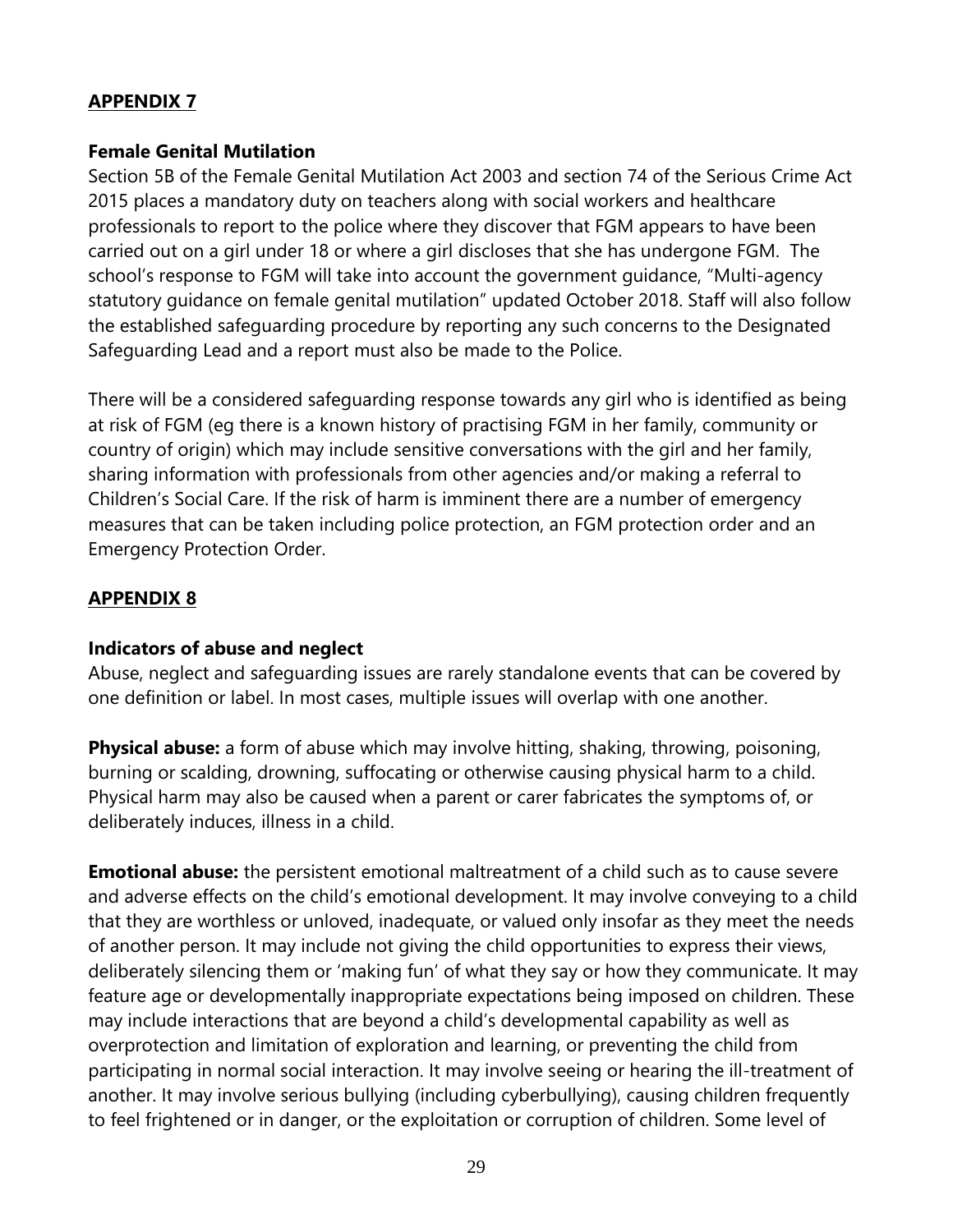#### **Female Genital Mutilation**

Section 5B of the Female Genital Mutilation Act 2003 and section 74 of the Serious Crime Act 2015 places a mandatory duty on teachers along with social workers and healthcare professionals to report to the police where they discover that FGM appears to have been carried out on a girl under 18 or where a girl discloses that she has undergone FGM. The school's response to FGM will take into account the government guidance, "Multi-agency statutory guidance on female genital mutilation" updated October 2018. Staff will also follow the established safeguarding procedure by reporting any such concerns to the Designated Safeguarding Lead and a report must also be made to the Police.

There will be a considered safeguarding response towards any girl who is identified as being at risk of FGM (eg there is a known history of practising FGM in her family, community or country of origin) which may include sensitive conversations with the girl and her family, sharing information with professionals from other agencies and/or making a referral to Children's Social Care. If the risk of harm is imminent there are a number of emergency measures that can be taken including police protection, an FGM protection order and an Emergency Protection Order.

### **APPENDIX 8**

#### **Indicators of abuse and neglect**

Abuse, neglect and safeguarding issues are rarely standalone events that can be covered by one definition or label. In most cases, multiple issues will overlap with one another.

**Physical abuse:** a form of abuse which may involve hitting, shaking, throwing, poisoning, burning or scalding, drowning, suffocating or otherwise causing physical harm to a child. Physical harm may also be caused when a parent or carer fabricates the symptoms of, or deliberately induces, illness in a child.

**Emotional abuse:** the persistent emotional maltreatment of a child such as to cause severe and adverse effects on the child's emotional development. It may involve conveying to a child that they are worthless or unloved, inadequate, or valued only insofar as they meet the needs of another person. It may include not giving the child opportunities to express their views, deliberately silencing them or 'making fun' of what they say or how they communicate. It may feature age or developmentally inappropriate expectations being imposed on children. These may include interactions that are beyond a child's developmental capability as well as overprotection and limitation of exploration and learning, or preventing the child from participating in normal social interaction. It may involve seeing or hearing the ill-treatment of another. It may involve serious bullying (including cyberbullying), causing children frequently to feel frightened or in danger, or the exploitation or corruption of children. Some level of